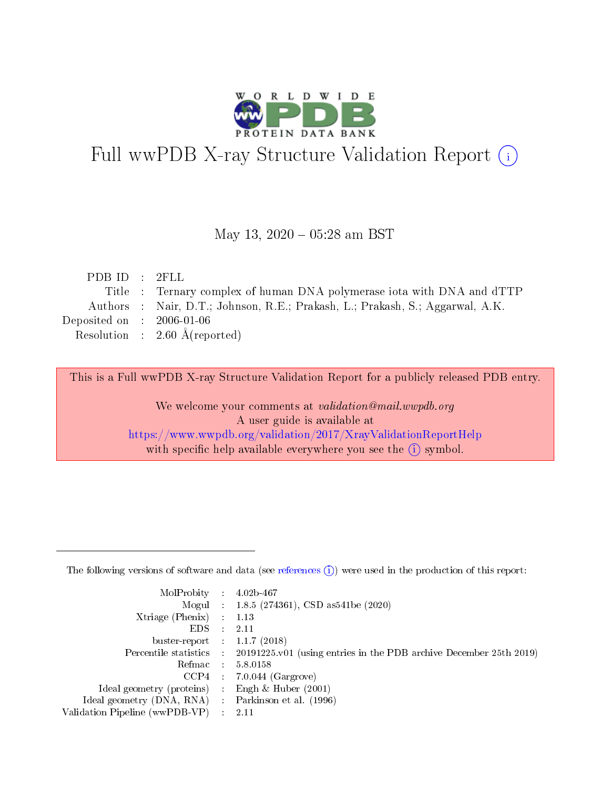

# Full wwPDB X-ray Structure Validation Report (i)

#### May 13,  $2020 - 05:28$  am BST

| PDBID : 2FLL                         |                                                                               |
|--------------------------------------|-------------------------------------------------------------------------------|
|                                      | Title : Ternary complex of human DNA polymerase iota with DNA and dTTP        |
|                                      | Authors : Nair, D.T.; Johnson, R.E.; Prakash, L.; Prakash, S.; Aggarwal, A.K. |
| Deposited on $\therefore$ 2006-01-06 |                                                                               |
|                                      | Resolution : $2.60 \text{ Å}$ (reported)                                      |
|                                      |                                                                               |

This is a Full wwPDB X-ray Structure Validation Report for a publicly released PDB entry.

We welcome your comments at validation@mail.wwpdb.org A user guide is available at <https://www.wwpdb.org/validation/2017/XrayValidationReportHelp> with specific help available everywhere you see the  $(i)$  symbol.

The following versions of software and data (see [references](https://www.wwpdb.org/validation/2017/XrayValidationReportHelp#references)  $(1)$ ) were used in the production of this report:

| MolProbity :                   |               | $4.02b - 467$                                                               |
|--------------------------------|---------------|-----------------------------------------------------------------------------|
|                                |               | Mogul : $1.8.5$ (274361), CSD as 541be (2020)                               |
| $X$ triage (Phenix) :          |               | 1.13                                                                        |
| EDS.                           |               | 2.11                                                                        |
| buster-report : $1.1.7$ (2018) |               |                                                                             |
| Percentile statistics :        |               | $20191225 \text{v}01$ (using entries in the PDB archive December 25th 2019) |
| Refmac :                       |               | 5.8.0158                                                                    |
| $CCP4$ :                       |               | $7.0.044$ (Gargrove)                                                        |
| Ideal geometry (proteins) :    |               | Engh $\&$ Huber (2001)                                                      |
| Ideal geometry (DNA, RNA) :    |               | Parkinson et al. (1996)                                                     |
| Validation Pipeline (wwPDB-VP) | $\mathcal{L}$ | 2.11                                                                        |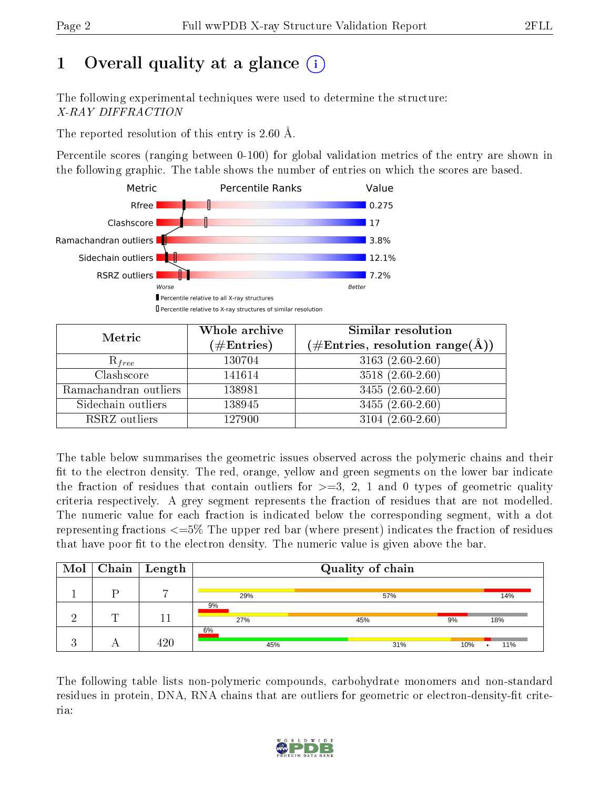# 1 [O](https://www.wwpdb.org/validation/2017/XrayValidationReportHelp#overall_quality)verall quality at a glance  $(i)$

The following experimental techniques were used to determine the structure: X-RAY DIFFRACTION

The reported resolution of this entry is 2.60 Å.

Percentile scores (ranging between 0-100) for global validation metrics of the entry are shown in the following graphic. The table shows the number of entries on which the scores are based.



| Metric                | Whole archive<br>$(\#\text{Entries})$ | Similar resolution<br>$(\#\text{Entries},\,\text{resolution}\,\,\text{range}(\textup{\AA}))$ |
|-----------------------|---------------------------------------|----------------------------------------------------------------------------------------------|
| $R_{free}$            | 130704                                | $3163(2.60-2.60)$                                                                            |
| Clashscore            | 141614                                | $3518(2.60-2.60)$                                                                            |
| Ramachandran outliers | 138981                                | $3455(2.60-2.60)$                                                                            |
| Sidechain outliers    | 138945                                | $3455(2.60-2.60)$                                                                            |
| RSRZ outliers         | 127900                                | $3104(2.60-2.60)$                                                                            |

The table below summarises the geometric issues observed across the polymeric chains and their fit to the electron density. The red, orange, yellow and green segments on the lower bar indicate the fraction of residues that contain outliers for  $\geq=3$ , 2, 1 and 0 types of geometric quality criteria respectively. A grey segment represents the fraction of residues that are not modelled. The numeric value for each fraction is indicated below the corresponding segment, with a dot representing fractions <=5% The upper red bar (where present) indicates the fraction of residues that have poor fit to the electron density. The numeric value is given above the bar.

|   | $\overline{\text{Mol}}$ Chain   Length |           | Quality of chain |     |     |
|---|----------------------------------------|-----------|------------------|-----|-----|
|   |                                        | 29%       | 57%              |     | 14% |
| ┯ |                                        | 9%<br>27% | 45%              | 9%  | 18% |
|   | 120                                    | 6%<br>45% | 31%              | 10% | 11% |

The following table lists non-polymeric compounds, carbohydrate monomers and non-standard residues in protein, DNA, RNA chains that are outliers for geometric or electron-density-fit criteria:

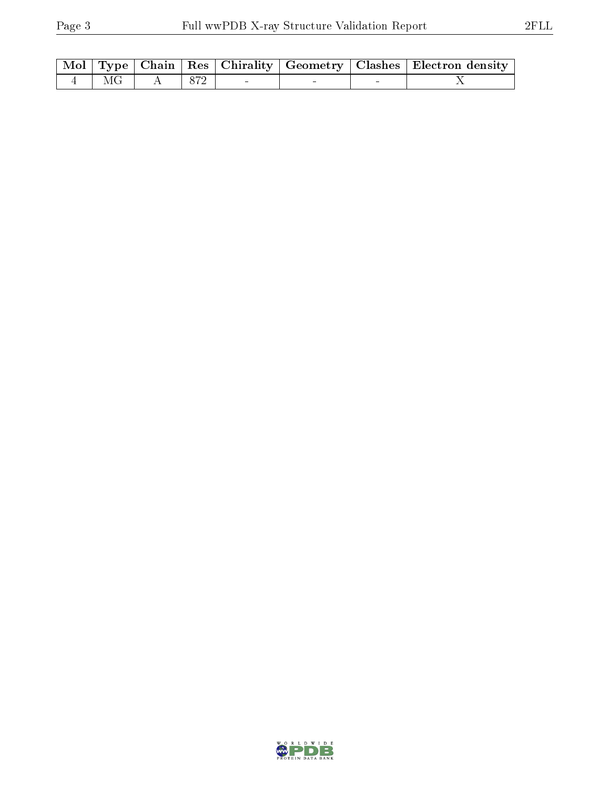|          |  |  | Mol   Type   Chain   Res   Chirality   Geometry   Clashes   Electron density |
|----------|--|--|------------------------------------------------------------------------------|
| $4$   MG |  |  |                                                                              |

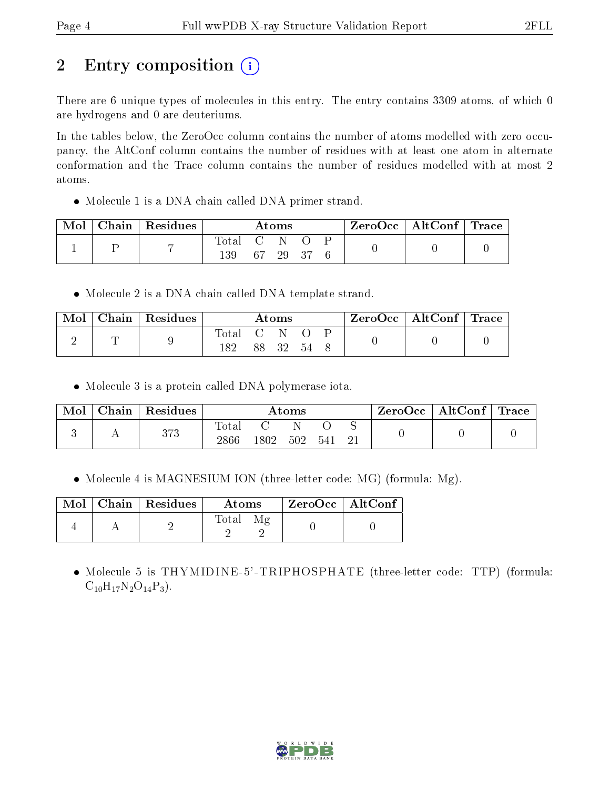# 2 Entry composition  $\left( \cdot \right)$

There are 6 unique types of molecules in this entry. The entry contains 3309 atoms, of which 0 are hydrogens and 0 are deuteriums.

In the tables below, the ZeroOcc column contains the number of atoms modelled with zero occupancy, the AltConf column contains the number of residues with at least one atom in alternate conformation and the Trace column contains the number of residues modelled with at most 2 atoms.

Molecule 1 is a DNA chain called DNA primer strand.

| Mol | Chain   Residues |              |    | $\rm{Atoms}$ |  | $ZeroOcc \mid AltConf \mid Trace \mid$ |  |
|-----|------------------|--------------|----|--------------|--|----------------------------------------|--|
|     |                  | Total<br>139 | 67 | -29          |  |                                        |  |

• Molecule 2 is a DNA chain called DNA template strand.

| Mol | Chain   Residues |             |                   | $\rm{Atoms}$ |    | $\text{ZeroOcc} \mid \text{AltConf} \mid \text{Trace}$ |  |
|-----|------------------|-------------|-------------------|--------------|----|--------------------------------------------------------|--|
|     |                  | $\rm Total$ | $\sim$ (1) $\sim$ |              |    |                                                        |  |
|     |                  | 182         |                   | 88 32        | 54 |                                                        |  |

Molecule 3 is a protein called DNA polymerase iota.

| Mol | Chain | $\vert$ Residues |                        |      | $\rm{Atoms}$ |      | $\text{ZeroOcc} \mid \text{AltConf} \mid \text{Trace}$ |  |
|-----|-------|------------------|------------------------|------|--------------|------|--------------------------------------------------------|--|
|     |       | 373              | $_{\rm Total}$<br>2866 | 1802 | 502          | .541 |                                                        |  |

• Molecule 4 is MAGNESIUM ION (three-letter code: MG) (formula: Mg).

|  | Mol   Chain   Residues | Atoms | $^\mathrm{+}$ ZeroOcc $\mathrm{~\vert}$ AltConf $\mathrm{~\vert}$ |  |
|--|------------------------|-------|-------------------------------------------------------------------|--|
|  |                        | Total |                                                                   |  |

 Molecule 5 is THYMIDINE-5'-TRIPHOSPHATE (three-letter code: TTP) (formula:  $C_{10}H_{17}N_2O_{14}P_3$ .

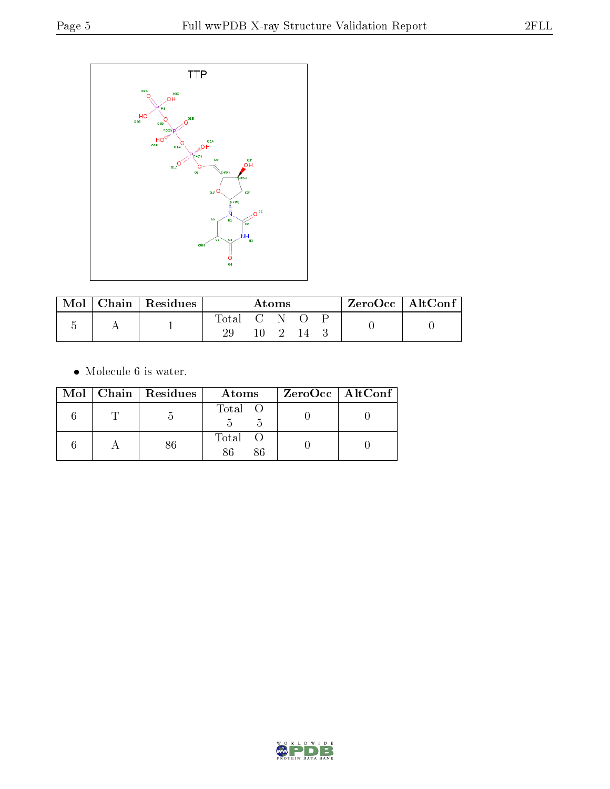

| Mol |  | $\sqrt{\frac{1}{1}}$ Chain   Residues |           | Atoms |  | $ZeroOcc \   \ AltConf \  $ |  |
|-----|--|---------------------------------------|-----------|-------|--|-----------------------------|--|
|     |  |                                       | Total C N |       |  |                             |  |
|     |  |                                       |           |       |  |                             |  |

 $\bullet\,$  Molecule 6 is water.

|  | $Mol$   Chain   Residues | Atoms         | $ZeroOcc \   \ AltConf \  $ |
|--|--------------------------|---------------|-----------------------------|
|  |                          | Total O       |                             |
|  |                          | Total O<br>86 |                             |

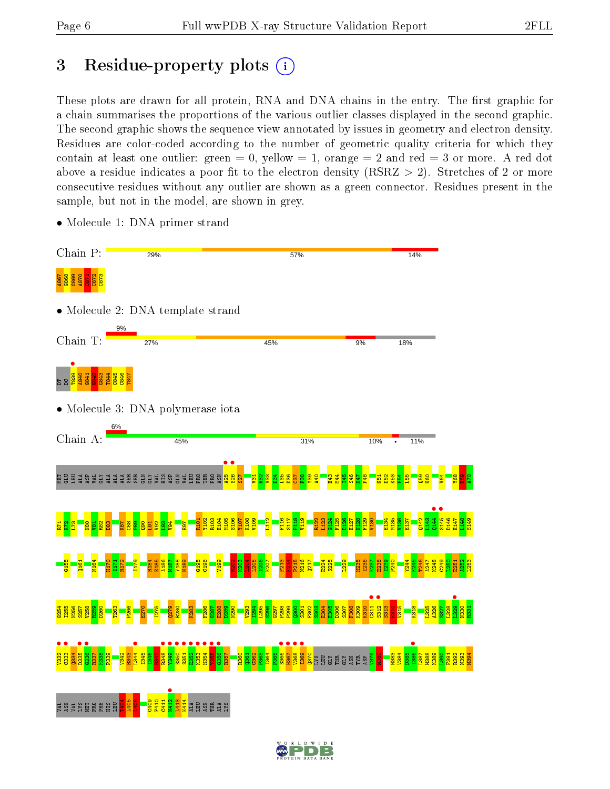## 3 Residue-property plots  $(i)$

These plots are drawn for all protein, RNA and DNA chains in the entry. The first graphic for a chain summarises the proportions of the various outlier classes displayed in the second graphic. The second graphic shows the sequence view annotated by issues in geometry and electron density. Residues are color-coded according to the number of geometric quality criteria for which they contain at least one outlier: green  $= 0$ , yellow  $= 1$ , orange  $= 2$  and red  $= 3$  or more. A red dot above a residue indicates a poor fit to the electron density (RSRZ  $> 2$ ). Stretches of 2 or more consecutive residues without any outlier are shown as a green connector. Residues present in the sample, but not in the model, are shown in grey.

- Chain P: 29% 57% 14% A867 G868 G869 A870 C871 C872 C873 • Molecule 2: DNA template strand Chain T: 27% 45% 9% 18% DTDC<br>DTD<mark>C839 9843</mark><br>DTDCB43 <mark>G843</mark> T844 C845 C846 T847 • Molecule 3: DNA polymerase iota Chain A: 45% 31% 10% 11% LA<br>SP GLU LEU GLU LEU GLU LEU GLU LEU GLU<br>SP GLU LEU GLU LEU GLU LEU GLU LEU GLU LEU GLU  $\frac{1}{2}$  $\overline{527}$  $\overline{131}$  $\frac{2}{2}$  $\frac{33}{2}$  $\frac{34}{2}$  $\frac{35}{2}$ D36  $\overline{57}$  $\frac{8}{5}$ Y39  $\frac{40}{4}$ E43  $\frac{1}{4}$  $\frac{1}{2}$  $\frac{46}{1}$ N47 P48 K51 D52 K53  $\frac{24}{10}$  $\frac{155}{2}$  $\frac{59}{2}$ K60 V64  $\frac{8}{2}$  $\frac{8}{2}$  $\frac{5}{4}$  $\frac{144}{145}$  $5145$  • R101 Y102 R103 E104 M105 S106 Y107 K108 V109  $\frac{112}{112}$ F116 S117 P118 V119 R122 L123  $\frac{124}{1}$ F125 D126 E127 N128 F129 V130 E134 M135 V136 E137 Q142 L143 D146 E147 L148 S149  $\frac{1}{2}$  $\frac{1}{2}$ N80  $\frac{82}{2}$ D83 K87  $\frac{8}{25}$  $\frac{8}{2}$  $\frac{8}{2}$ V92  $\frac{3}{2}$ V94 E97  $R_{\rm 1}$  $\frac{1}{2}$  $\frac{5}{2}$ G155 N164 H170 R172 I179 R184 E185 A186 M187 Y188 N189 G195  $\frac{96}{2}$ V199  $\frac{8}{2}$  $\frac{8}{2}$  $\frac{2}{3}$ L205 A206 K207  $\frac{213}{2}$  $\frac{4}{2}$  $\frac{15}{2}$ N216 Q217 E224 S225 L229 H235 I236 K237 E238 I239 P240  $\frac{1}{24}$ K245 T246 A247 K248  $\frac{1}{2}$ L250 A252 L253 Q161 I171  $E_{51}$  $\frac{•}{0}$  $\frac{1312}{1313}$  $\frac{1329}{1330}$  $534$ I255 N256 S257 V258 R259 D260 T263 P266 E270 I275 Q279 R280 K283 F286  $5287$ E288 D289 N290 V293 I294 L295 S296 G297 P298 P299  $\frac{1300}{2}$ S301 F302 S303 E304 E305 D306 S307 F308 K309 K310  $\frac{313}{2}$ E314 V315 K318 L325 A326 S327 L328 N330  $\frac{331}{2}$  $\frac{\bullet}{\frac{332}{332}}$  $\frac{1}{2}$  $\frac{1}{335}$  $6336$  •  $\frac{1344}{1345}$ R348 •  $\frac{1}{1349}$  $\frac{\bullet}{\frac{350}{250}}$  $\frac{•}{551}$ E352 • K353 • H354 • **P<sub>55</sub>** G356 •  $\frac{1}{2}$ H367 • V368 • I369 • **•**<br>Pass  $1334$ R337 K338 P339 V342 R343 I345 I346  $R347$ R357 R360  $\frac{0.361}{0.361}$ C362 P363 I364 P365 <mark>ន្</mark>ទី និង មិន ក្នុង  $\frac{8}{2}$ M380 M383 V384 D385  $\frac{1}{3}$ M388 K389  $\frac{8}{3}$ F391 R392 N393 M394 N412 • T404 L405 L406 C409 F410  $C411$ L413 K414 S Š Š Š Ā B B B B S  $\frac{1}{2}$ ALA LEU ASN THR ALA LYS
- Molecule 1: DNA primer strand

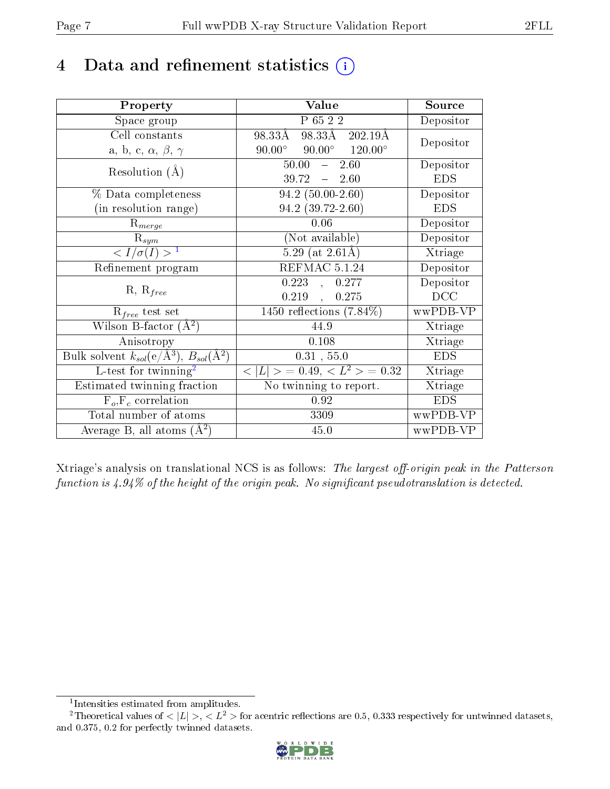# 4 Data and refinement statistics  $(i)$

| Property                                                                 | Value                                            | Source     |
|--------------------------------------------------------------------------|--------------------------------------------------|------------|
| Space group                                                              | P 65 2 2                                         | Depositor  |
| Cell constants                                                           | 98.33Å 202.19Å<br>98.33Å                         |            |
| a, b, c, $\alpha$ , $\beta$ , $\gamma$                                   | $90.00^{\circ}$ $90.00^{\circ}$ $120.00^{\circ}$ | Depositor  |
| Resolution $(A)$                                                         | $\overline{-\phantom{0}}2.60$<br>50.00           | Depositor  |
|                                                                          | 39.72<br>$-2.60$                                 | <b>EDS</b> |
| % Data completeness                                                      | $94.2(50.00-2.60)$                               | Depositor  |
| (in resolution range)                                                    | $94.2$ $(39.72 - 2.60)$                          | <b>EDS</b> |
| $R_{merge}$                                                              | 0.06                                             | Depositor  |
| $\mathrm{R}_{sym}$                                                       | (Not available)                                  | Depositor  |
| $\langle I/\sigma(I) \rangle^{-1}$                                       | $5.29$ (at 2.61Å)                                | Xtriage    |
| Refinement program                                                       | REFMAC 5.1.24                                    | Depositor  |
| $R, R_{free}$                                                            | 0.223<br>0.277<br>$\mathbf{A}$                   | Depositor  |
|                                                                          | 0.219<br>0.275<br>$\mathbf{A}$                   | DCC        |
| $R_{free}$ test set                                                      | 1450 reflections $(7.84\%)$                      | wwPDB-VP   |
| Wilson B-factor $(A^2)$                                                  | 44.9                                             | Xtriage    |
| Anisotropy                                                               | 0.108                                            | Xtriage    |
| Bulk solvent $k_{sol}(\mathrm{e}/\mathrm{A}^3),$ $B_{sol}(\mathrm{A}^2)$ | 0.31, 55.0                                       | <b>EDS</b> |
| L-test for twinning <sup>2</sup>                                         | $< L >$ = 0.49, $< L2$ > = 0.32                  | Xtriage    |
| Estimated twinning fraction                                              | $\overline{\text{No}}$ twinning to report.       | Xtriage    |
| $F_o, F_c$ correlation                                                   | 0.92                                             | <b>EDS</b> |
| Total number of atoms                                                    | 3309                                             | wwPDB-VP   |
| Average B, all atoms $(A^2)$                                             | 45.0                                             | wwPDB-VP   |

Xtriage's analysis on translational NCS is as follows: The largest off-origin peak in the Patterson function is  $4.94\%$  of the height of the origin peak. No significant pseudotranslation is detected.

<sup>&</sup>lt;sup>2</sup>Theoretical values of  $\langle |L| \rangle$ ,  $\langle L^2 \rangle$  for acentric reflections are 0.5, 0.333 respectively for untwinned datasets, and 0.375, 0.2 for perfectly twinned datasets.



<span id="page-6-1"></span><span id="page-6-0"></span><sup>1</sup> Intensities estimated from amplitudes.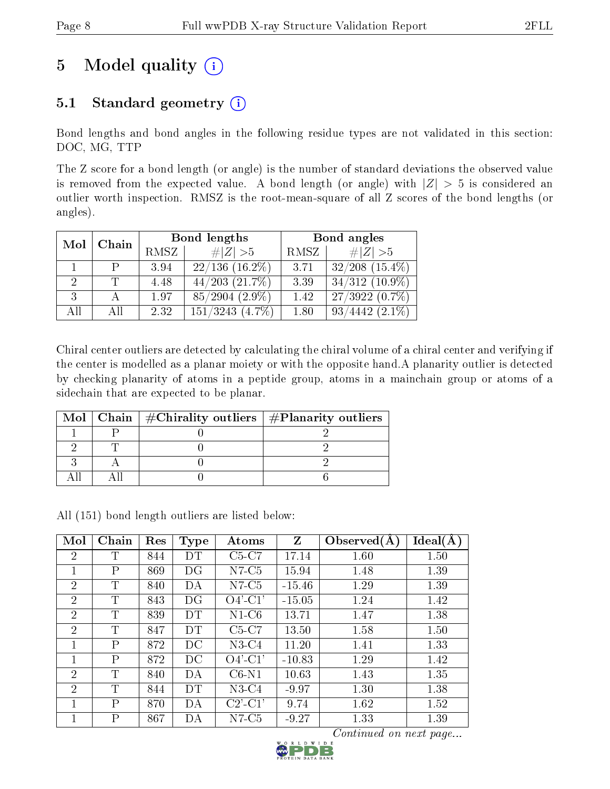# 5 Model quality  $(i)$

## 5.1 Standard geometry  $(i)$

Bond lengths and bond angles in the following residue types are not validated in this section: DOC, MG, TTP

The Z score for a bond length (or angle) is the number of standard deviations the observed value is removed from the expected value. A bond length (or angle) with  $|Z| > 5$  is considered an outlier worth inspection. RMSZ is the root-mean-square of all Z scores of the bond lengths (or angles).

| Mol                         | Chain |      | Bond lengths          | Bond angles |                         |  |
|-----------------------------|-------|------|-----------------------|-------------|-------------------------|--|
|                             |       | RMSZ | $\# Z  > 5$           | RMSZ        | $\# Z  > 5$             |  |
|                             | P     | 3.94 | $22/136$ $(16.2\%)$   | 3.71        | $32/208$ $(15.4\%)$     |  |
| $\mathcal{D}_{\mathcal{L}}$ |       | 4.48 | $44/203$ $(21.7\%)$   | 3.39        | $34/312(10.9\%)$        |  |
| 3                           |       | 1.97 | $(2.9\%)$<br>85/2904  | 1.42        | $27/3922(0.7\%)$        |  |
| All                         | Αll   | 2.32 | 151/3243<br>$(4.7\%)$ | 1.80        | $(2.1\%)$<br>93<br>4442 |  |

Chiral center outliers are detected by calculating the chiral volume of a chiral center and verifying if the center is modelled as a planar moiety or with the opposite hand.A planarity outlier is detected by checking planarity of atoms in a peptide group, atoms in a mainchain group or atoms of a sidechain that are expected to be planar.

|  | Mol   Chain   $\#\text{Chirality outliers}$   $\#\text{Planarity outliers}$ |
|--|-----------------------------------------------------------------------------|
|  |                                                                             |
|  |                                                                             |
|  |                                                                             |
|  |                                                                             |

All (151) bond length outliers are listed below:

| Mol            | Chain        | Res | <b>Type</b> | Atoms         | $\mathbf{Z}$ | Observed(A) | Ideal(A) |
|----------------|--------------|-----|-------------|---------------|--------------|-------------|----------|
| 2              | T            | 844 | DТ          | $C5-C7$       | 17.14        | 1.60        | 1.50     |
| 1              | $\mathbf{P}$ | 869 | DG          | $N7-C5$       | 15.94        | 1.48        | 1.39     |
| $\overline{2}$ | T            | 840 | DА          | $N7-C5$       | $-15.46$     | 1.29        | 1.39     |
| 2              | T            | 843 | DG          | $O4'$ -C1'    | $-15.05$     | 1.24        | 1.42     |
| $\overline{2}$ | Τ            | 839 | DT          | $N1-C6$       | 13.71        | 1.47        | 1.38     |
| 2              | T            | 847 | DT          | $C5-C7$       | 13.50        | 1.58        | 1.50     |
| 1              | $\mathsf{P}$ | 872 | DC          | $N3-C4$       | 11.20        | 1.41        | 1.33     |
| 1              | $\mathbf{P}$ | 872 | DС          | $O4'$ -C1'    | $-10.83$     | 1.29        | 1.42     |
| $\overline{2}$ | T            | 840 | DA          | $C6-N1$       | 10.63        | 1.43        | 1.35     |
| $\overline{2}$ | T            | 844 | <b>DT</b>   | $N3-C4$       | $-9.97$      | 1.30        | 1.38     |
| 1              | $\mathsf{P}$ | 870 | DА          | $C2'$ - $C1'$ | 9.74         | 1.62        | 1.52     |
|                | $\mathbf P$  | 867 | DА          | $N7-C5$       | $-9.27$      | 1.33        | 1.39     |

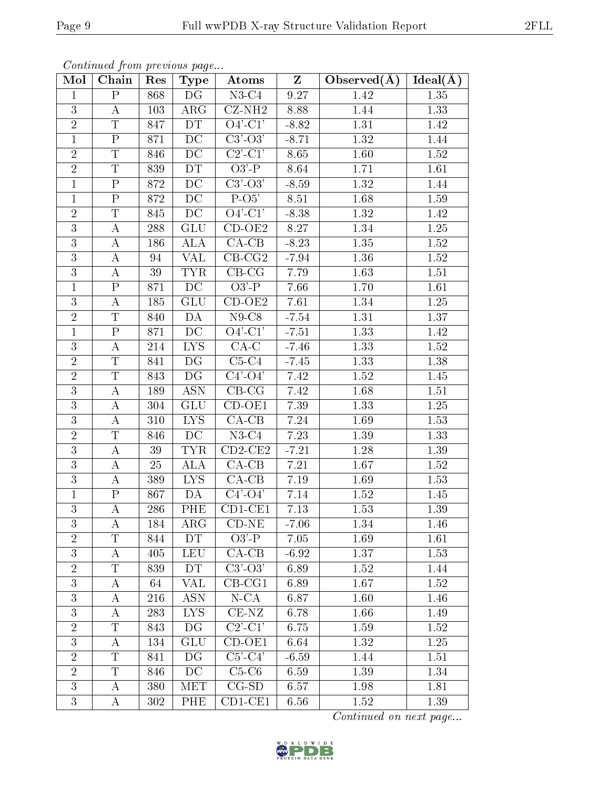| Mol            | Chain                   | Res | $\mathbf{v}$<br>Type          | Atoms                                 | Z       | Observed $(A)$ | $Ideal(\AA)$      |
|----------------|-------------------------|-----|-------------------------------|---------------------------------------|---------|----------------|-------------------|
| $\mathbf{1}$   | $\mathbf{P}$            | 868 | DG                            | $N3-C4$                               | 9.27    | 1.42           | 1.35              |
| 3              | $\bf{A}$                | 103 | $\rm{ARG}$                    | $\overline{\text{C}}\text{Z-NH2}$     | 8.88    | 1.44           | $\overline{1}.33$ |
| $\overline{2}$ | $\overline{\mathrm{T}}$ | 847 | DT                            | $O4'$ -C1'                            | $-8.82$ | 1.31           | 1.42              |
| $\mathbf{1}$   | ${\bf P}$               | 871 | DC                            | $C3'-O3'$                             | $-8.71$ | 1.32           | 1.44              |
| $\sqrt{2}$     | $\overline{T}$          | 846 | DC                            | $C2$ <sup>'</sup> - $C1$ <sup>'</sup> | 8.65    | 1.60           | 1.52              |
| $\overline{2}$ | $\overline{\mathrm{T}}$ | 839 | DT                            | $O3'$ -P                              | 8.64    | 1.71           | 1.61              |
| $\mathbf{1}$   | $\overline{P}$          | 872 | $\rm DC$                      | $C3'-O3'$                             | $-8.59$ | 1.32           | 1.44              |
| $\mathbf{1}$   | $\overline{\mathrm{P}}$ | 872 | $\overline{DC}$               | $\overline{P-O5'}$                    | 8.51    | 1.68           | 1.59              |
| $\sqrt{2}$     | $\overline{\mathrm{T}}$ | 845 | $\rm DC$                      | $O4'$ -C1'                            | $-8.38$ | 1.32           | 1.42              |
| 3              | $\boldsymbol{A}$        | 288 | <b>GLU</b>                    | $CD-OE2$                              | 8.27    | 1.34           | 1.25              |
| 3              | $\boldsymbol{A}$        | 186 | <b>ALA</b>                    | $CA-CB$                               | $-8.23$ | $1.35\,$       | 1.52              |
| 3              | А                       | 94  | <b>VAL</b>                    | $CB-CG2$                              | $-7.94$ | $1.36\,$       | 1.52              |
| $\overline{3}$ | $\boldsymbol{A}$        | 39  | <b>TYR</b>                    | $CB-CG$                               | 7.79    | 1.63           | 1.51              |
| $\mathbf{1}$   | $\rm P$                 | 871 | DC                            | $O3'$ -P                              | 7.66    | 1.70           | 1.61              |
| 3              | A                       | 185 | <b>GLU</b>                    | $CD-OE2$                              | 7.61    | 1.34           | 1.25              |
| $\overline{2}$ | T                       | 840 | DA                            | $N9-C8$                               | $-7.54$ | 1.31           | 1.37              |
| $\mathbf{1}$   | $\overline{P}$          | 871 | DC                            | $\overline{O4'$ - $C1'$               | $-7.51$ | 1.33           | 1.42              |
| $\mathfrak{Z}$ | А                       | 214 | <b>LYS</b>                    | $CA-C$                                | $-7.46$ | 1.33           | 1.52              |
| $\overline{2}$ | $\overline{T}$          | 841 | DG                            | $C5-C4$                               | $-7.45$ | 1.33           | 1.38              |
| $\overline{2}$ | $\overline{\mathrm{T}}$ | 843 | DG                            | $C4'-O4'$                             | 7.42    | 1.52           | 1.45              |
| 3              | A                       | 189 | <b>ASN</b>                    | $CB-CG$                               | 7.42    | 1.68           | 1.51              |
| $\overline{3}$ | $\boldsymbol{A}$        | 304 | <b>GLU</b>                    | $\overline{\text{CD}}$ -OE1           | 7.39    | 1.33           | 1.25              |
| 3              | А                       | 310 | <b>LYS</b>                    | $CA-CB$                               | 7.24    | 1.69           | 1.53              |
| $\overline{2}$ | T                       | 846 | DC                            | $N3-C4$                               | 7.23    | 1.39           | 1.33              |
| $\overline{3}$ | А                       | 39  | <b>TYR</b>                    | $CD2-CE2$                             | $-7.21$ | 1.28           | 1.39              |
| 3              | $\boldsymbol{A}$        | 25  | ALA                           | $CA-CB$                               | 7.21    | 1.67           | 1.52              |
| 3              | А                       | 389 | $\overline{I} \overline{Y} S$ | $CA-CB$                               | 7.19    | 1.69           | 1.53              |
| $\mathbf{1}$   | $\overline{\mathrm{P}}$ | 867 | DA                            | $C4'-O4'$                             | 7.14    | 1.52           | 1.45              |
| 3              | А                       | 286 | PHE                           | $CD1-CE1$                             | 7.13    | 1.53           | $1.39\,$          |
| 3              | А                       | 184 | $\rm{ARG}$                    | $CD-NE$                               | $-7.06$ | 1.34           | 1.46              |
| $\overline{2}$ | T                       | 844 | <b>DT</b>                     | $O3'$ -P                              | 7.05    | 1.69           | 1.61              |
| 3              | Α                       | 405 | <b>LEU</b>                    | $\overline{CA}$ -CB                   | $-6.92$ | 1.37           | 1.53              |
| $\overline{2}$ | Τ                       | 839 | DT                            | $C3'-O3'$                             | 6.89    | 1.52           | 1.44              |
| 3              | Α                       | 64  | <b>VAL</b>                    | $CB-CG1$                              | 6.89    | 1.67           | 1.52              |
| 3              | Α                       | 216 | <b>ASN</b>                    | $N$ -CA                               | 6.87    | 1.60           | 1.46              |
| 3              | А                       | 283 | <b>LYS</b>                    | $CE-NZ$                               | 6.78    | 1.66           | 1.49              |
| $\overline{2}$ | $\overline{\mathrm{T}}$ | 843 | DG                            | $\overline{C2'$ - $C1'$               | 6.75    | 1.59           | 1.52              |
| 3              | Α                       | 134 | <b>GLU</b>                    | $CD-OE1$                              | 6.64    | 1.32           | 1.25              |
| $\overline{2}$ | T                       | 841 | DG                            | $C5\overline{\cdot C4'}$              | $-6.59$ | 1.44           | 1.51              |
| $\overline{2}$ | T                       | 846 | DC                            | $C5-C6$                               | 6.59    | 1.39           | 1.34              |
| 3              | A                       | 380 | MET                           | $CG-SD$                               | 6.57    | 1.98           | 1.81              |
| 3              | А                       | 302 | PHE                           | $CD1-CE1$                             | 6.56    | 1.52           | 1.39              |

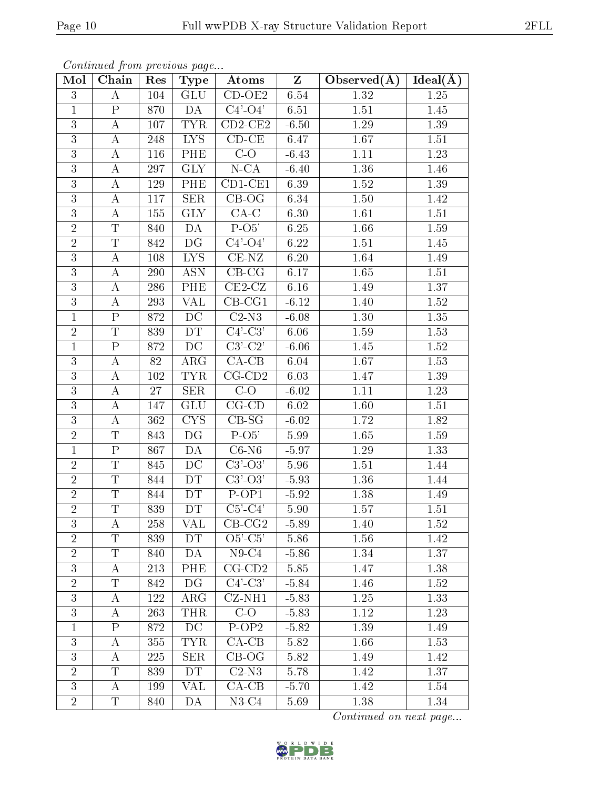| Mol            | Chain                   | Res    | $\mathbf{v}$<br>Type              | Atoms                      | $\mathbf{Z}$ | Observed $(A)$ | Ideal $(A)$ |
|----------------|-------------------------|--------|-----------------------------------|----------------------------|--------------|----------------|-------------|
| 3              | A                       | 104    | <b>GLU</b>                        | $\overline{\text{CD-OE2}}$ | 6.54         | 1.32           | 1.25        |
| $\mathbf{1}$   | ${\bf P}$               | 870    | DA                                | $C4'-O4'$                  | 6.51         | 1.51           | 1.45        |
| $\overline{3}$ | $\boldsymbol{A}$        | 107    | <b>TYR</b>                        | $CD2-CE2$                  | $-6.50$      | 1.29           | 1.39        |
| 3              | А                       | 248    | LYS                               | $CD-CE$                    | 6.47         | 1.67           | 1.51        |
| $\mathbf{3}$   | $\bf{A}$                | 116    | PHE                               | $C-O$                      | $-6.43$      | 1.11           | 1.23        |
| 3              | А                       | 297    | $\overline{\text{GLY}}$           | $N$ -CA                    | $-6.40$      | 1.36           | 1.46        |
| 3              | $\bf{A}$                | 129    | PHE                               | $\overline{CD}$ 1-CE1      | 6.39         | 1.52           | 1.39        |
| 3              | $\boldsymbol{A}$        | 117    | <b>SER</b>                        | $CB-OG$                    | 6.34         | $1.50\,$       | 1.42        |
| 3              | $\bf{A}$                | 155    | <b>GLY</b>                        | $CA-C$                     | 6.30         | 1.61           | 1.51        |
| $\overline{2}$ | $\mathbf T$             | 840    | DA                                | $P-O5'$                    | 6.25         | 1.66           | 1.59        |
| $\overline{2}$ | $\overline{T}$          | 842    | $\overline{\mathrm{D}\mathrm{G}}$ | $C4'-O4'$                  | 6.22         | 1.51           | 1.45        |
| 3              | $\bf{A}$                | 108    | ${\rm LYS}$                       | $CE-NZ$                    | 6.20         | 1.64           | 1.49        |
| $\overline{3}$ | $\overline{A}$          | 290    | <b>ASN</b>                        | $CB-CG$                    | 6.17         | 1.65           | $1.51\,$    |
| $\mathbf{3}$   | $\boldsymbol{A}$        | 286    | PHE                               | $CE2-CZ$                   | 6.16         | 1.49           | 1.37        |
| 3              | $\overline{\rm A}$      | 293    | VAL                               | $CB-CG1$                   | $-6.12$      | 1.40           | 1.52        |
| $\mathbf{1}$   | ${\bf P}$               | 872    | DC                                | $C2-N3$                    | $-6.08$      | 1.30           | 1.35        |
| $\overline{2}$ | $\overline{T}$          | 839    | DT                                | $\overline{C4'-C3'}$       | 6.06         | 1.59           | 1.53        |
| $\mathbf{1}$   | $\overline{P}$          | 872    | $\overline{\mathrm{DC}}$          | $\overline{C3'-C2'}$       | $-6.06$      | 1.45           | 1.52        |
| 3              | А                       | $82\,$ | $\rm{ARG}$                        | $\overline{CA-CB}$         | 6.04         | 1.67           | 1.53        |
| $\overline{3}$ | $\bf{A}$                | 102    | <b>TYR</b>                        | $\overline{\text{CG-CD2}}$ | 6.03         | 1.47           | 1.39        |
| 3              | $\boldsymbol{A}$        | $27\,$ | $\overline{\text{SER}}$           | $C-O$                      | $-6.02$      | $1.11\,$       | 1.23        |
| $\overline{3}$ | $\bf{A}$                | 147    | GLU                               | $CG$ - $CD$                | 6.02         | 1.60           | 1.51        |
| 3              | А                       | 362    | <b>CYS</b>                        | $CB-SG$                    | $-6.02$      | 1.72           | 1.82        |
| $\overline{2}$ | T                       | 843    | DG                                | $P-O5'$                    | 5.99         | 1.65           | 1.59        |
| $\mathbf{1}$   | $\overline{\mathrm{P}}$ | 867    | DA                                | $C6-N6$                    | $-5.97$      | 1.29           | 1.33        |
| $\overline{2}$ | $\mathbf T$             | 845    | DC                                | $C3'-O3'$                  | 5.96         | 1.51           | 1.44        |
| $\overline{2}$ | $\overline{\mathrm{T}}$ | 844    | DT                                | $C3'-O3'$                  | $-5.93$      | 1.36           | 1.44        |
| $\overline{2}$ | $\overline{T}$          | 844    | DT                                | P-OP1                      | $-5.92$      | 1.38           | 1.49        |
| $\overline{2}$ | $\mathbf T$             | 839    | <b>DT</b>                         | $C5$ ' $C4$ '              | 5.90         | 1.57           | 1.51        |
| 3              | A                       | 258    | VAL                               | $CB-CG2$                   | $-5.89$      | 1.40           | 1.52        |
| $\overline{2}$ | T                       | 839    | DT.                               | $O5'-C5'$                  | 5.86         | 1.56           | 1.42        |
| $\overline{2}$ | $\overline{\mathrm{T}}$ | 840    | DA                                | $N9-C4$                    | $-5.86$      | 1.34           | 1.37        |
| 3              | A                       | 213    | PHE                               | $CG$ - $CD2$               | 5.85         | 1.47           | 1.38        |
| $\overline{2}$ | $\mathbf T$             | 842    | DG                                | $\overline{C4'-C3'}$       | $-5.84$      | 1.46           | 1.52        |
| 3              | $\bf{A}$                | 122    | ${\rm ARG}$                       | $\overline{C}Z-NH1$        | $-5.83$      | 1.25           | 1.33        |
| 3              | А                       | 263    | THR                               | $C-O$                      | $-5.83$      | 1.12           | 1.23        |
| 1              | $\mathbf P$             | 872    | DC                                | $P-OP2$                    | $-5.82$      | 1.39           | 1.49        |
| 3              | A                       | 355    | <b>TYR</b>                        | $CA-CB$                    | 5.82         | 1.66           | 1.53        |
| 3              | А                       | 225    | <b>SER</b>                        | $CB-OG$                    | 5.82         | 1.49           | 1.42        |
| $\overline{2}$ | T                       | 839    | <b>DT</b>                         | $C2-N3$                    | 5.78         | 1.42           | 1.37        |
| 3              | A                       | 199    | VAL                               | $CA-CB$                    | $-5.70$      | 1.42           | 1.54        |
| $\overline{2}$ | T                       | 840    | DA                                | $N3-C4$                    | 5.69         | 1.38           | 1.34        |

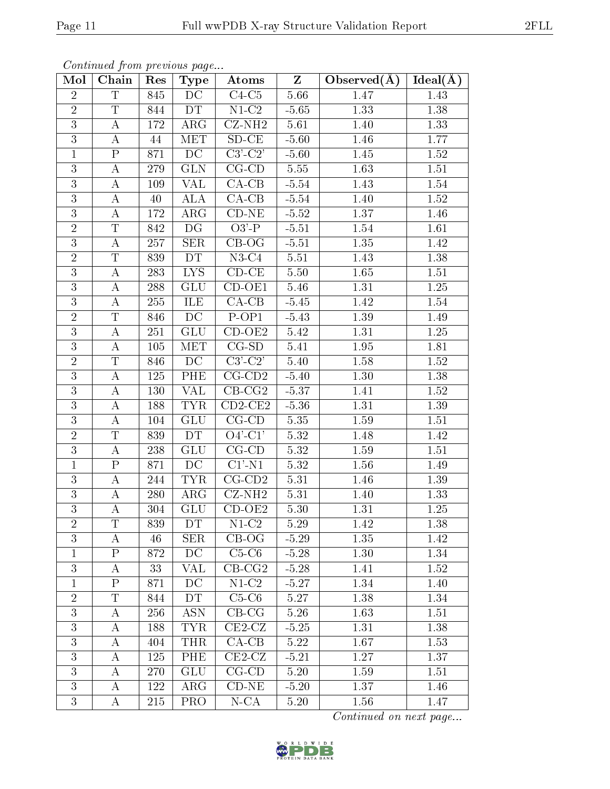| Mol            | Chain                   | Res     | $\mathbf{v}$<br>Type     | Atoms                           | $\overline{z}$ | Observed $(\AA)$  | $Ideal(\AA)$ |
|----------------|-------------------------|---------|--------------------------|---------------------------------|----------------|-------------------|--------------|
| $\overline{2}$ | $\overline{\mathrm{T}}$ | 845     | DC                       | $\overline{\text{C}4\text{C}5}$ | 5.66           | 1.47              | 1.43         |
| $\overline{2}$ | $\mathbf T$             | 844     | DT                       | $N1-C2$                         | $-5.65$        | 1.33              | 1.38         |
| $\overline{3}$ | А                       | 172     | $\rm{ARG}$               | $CZ-NH2$                        | 5.61           | 1.40              | 1.33         |
| 3              | А                       | 44      | MET                      | $SD-CE$                         | $-5.60$        | 1.46              | 1.77         |
| $\mathbf{1}$   | $\mathbf P$             | 871     | DC                       | $C3$ ' $-C2$ '                  | $-5.60$        | 1.45              | $1.52\,$     |
| 3              | Α                       | 279     | <b>GLN</b>               | $CG$ - $CD$                     | 5.55           | 1.63              | 1.51         |
| $\overline{3}$ | А                       | 109     | <b>VAL</b>               | $CA-CB$                         | $-5.54$        | 1.43              | 1.54         |
| 3              | А                       | 40      | ALA                      | $\overline{\text{CA-CB}}$       | $-5.54$        | 1.40              | 1.52         |
| 3              | A                       | 172     | $\rm{ARG}$               | $CD-NE$                         | $-5.52$        | 1.37              | 1.46         |
| $\overline{2}$ | $\overline{\mathrm{T}}$ | 842     | DG                       | $O3'$ -P                        | $-5.51$        | 1.54              | 1.61         |
| 3              | A                       | 257     | <b>SER</b>               | $CB-OG$                         | $-5.51$        | $1.35\,$          | 1.42         |
| $\overline{2}$ | T                       | 839     | <b>DT</b>                | $N3-C4$                         | 5.51           | 1.43              | 1.38         |
| $\overline{3}$ | $\overline{\rm A}$      | 283     | $\overline{\text{LYS}}$  | $CD-CE$                         | 5.50           | $\overline{1.65}$ | $1.51\,$     |
| 3              | $\boldsymbol{A}$        | 288     | <b>GLU</b>               | $CD-OE1$                        | 5.46           | 1.31              | 1.25         |
| 3              | A                       | $255\,$ | ILE                      | $\overline{CA-CB}$              | $-5.45$        | 1.42              | 1.54         |
| $\overline{2}$ | Τ                       | 846     | DC                       | $P-OP1$                         | $-5.43$        | 1.39              | 1.49         |
| 3              | $\boldsymbol{A}$        | $251\,$ | $\overline{\text{GL}}$ U | $CD-OE2$                        | 5.42           | 1.31              | 1.25         |
| $\overline{3}$ | А                       | 105     | <b>MET</b>               | $CG-SD$                         | 5.41           | 1.95              | 1.81         |
| $\overline{2}$ | T                       | 846     | DC                       | $C3'-C2'$                       | $5.40\,$       | 1.58              | 1.52         |
| $\overline{3}$ | А                       | 125     | <b>PHE</b>               | $CG$ - $CD2$                    | $-5.40$        | 1.30              | 1.38         |
| 3              | A                       | 130     | <b>VAL</b>               | $CB-CG2$                        | $-5.37$        | 1.41              | 1.52         |
| $\overline{3}$ | $\boldsymbol{A}$        | 188     | <b>TYR</b>               | $\overline{\text{CD2-CE2}}$     | $-5.36$        | 1.31              | 1.39         |
| 3              | А                       | 104     | <b>GLU</b>               | $CG$ - $CD$                     | 5.35           | 1.59              | 1.51         |
| $\overline{2}$ | T                       | 839     | DT                       | $O4'$ -C1'                      | 5.32           | 1.48              | 1.42         |
| $\overline{3}$ | А                       | 238     | GLU                      | $CG$ - $CD$                     | 5.32           | 1.59              | 1.51         |
| $\mathbf{1}$   | ${\bf P}$               | 871     | DC                       | $C1'$ -N1                       | 5.32           | 1.56              | 1.49         |
| 3              | А                       | 244     | <b>TYR</b>               | $CG$ - $CD2$                    | 5.31           | 1.46              | 1.39         |
| 3              | A                       | 280     | $\rm{ARG}$               | $\overline{\text{CZ-NH2}}$      | 5.31           | 1.40              | 1.33         |
| 3              | Α                       | 304     | <b>GLU</b>               | $CD-OE2$                        | 5.30           | 1.31              | 1.25         |
| $\overline{2}$ | Τ                       | 839     | DT                       | $N1-C2$                         | 5.29           | 1.42              | 1.38         |
| 3              | А                       | 46      | SER                      | $CB-OG$                         | $-5.29$        | 1.35              | 1.42         |
| $\mathbf{1}$   | $\overline{\mathrm{P}}$ | 872     | DC                       | $C5-C6$                         | $-5.28$        | 1.30              | 1.34         |
| 3              | A                       | 33      | VAL                      | $CB-CG2$                        | $-5.28$        | 1.41              | 1.52         |
| $\mathbf{1}$   | $\mathbf P$             | 871     | DC                       | $N1-C2$                         | $-5.27$        | 1.34              | 1.40         |
| $\overline{2}$ | Τ                       | 844     | DT                       | $C5-C6$                         | 5.27           | 1.38              | 1.34         |
| 3              | А                       | 256     | <b>ASN</b>               | $CB-CG$                         | 5.26           | 1.63              | 1.51         |
| 3              | А                       | 188     | <b>TYR</b>               | $CE2-CZ$                        | $-5.25$        | 1.31              | 1.38         |
| 3              | Α                       | 404     | <b>THR</b>               | $CA-CB$                         | 5.22           | 1.67              | 1.53         |
| 3              | А                       | 125     | PHE                      | $CE2-CZ$                        | $-5.21$        | 1.27              | 1.37         |
| 3              | А                       | 270     | <b>GLU</b>               | $CG$ - $CD$                     | 5.20           | 1.59              | 1.51         |
| 3              | A                       | 122     | $\rm{ARG}$               | $CD-NE$                         | $-5.20$        | 1.37              | 1.46         |
| 3              | A                       | 215     | <b>PRO</b>               | $N$ -CA                         | 5.20           | 1.56              | 1.47         |

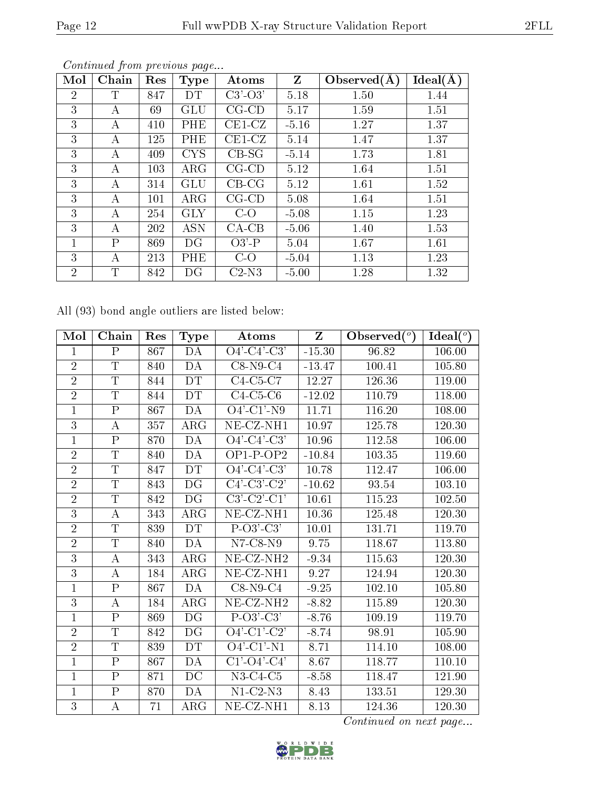| Mol            | Chain       | Res | <b>Type</b> | Atoms       | Z       | Observed $(A)$ | Ideal(A) |
|----------------|-------------|-----|-------------|-------------|---------|----------------|----------|
| $\overline{2}$ | Т           | 847 | DТ          | $C3'-O3'$   | 5.18    | 1.50           | 1.44     |
| 3              | А           | 69  | GLU         | $CG$ - $CD$ | 5.17    | 1.59           | 1.51     |
| 3              | А           | 410 | PHE         | $CE1-CZ$    | $-5.16$ | 1.27           | 1.37     |
| 3              | А           | 125 | PHE         | $CE1-CZ$    | 5.14    | 1.47           | 1.37     |
| 3              | А           | 409 | <b>CYS</b>  | $CB-SG$     | $-5.14$ | 1.73           | 1.81     |
| 3              | А           | 103 | $\rm{ARG}$  | $CG$ - $CD$ | 5.12    | 1.64           | 1.51     |
| 3              | А           | 314 | GLU         | $CB-CG$     | 5.12    | 1.61           | 1.52     |
| 3              | А           | 101 | $\rm{ARG}$  | $CG$ - $CD$ | 5.08    | 1.64           | 1.51     |
| 3              | А           | 254 | <b>GLY</b>  | $C-O$       | $-5.08$ | 1.15           | 1.23     |
| 3              | А           | 202 | <b>ASN</b>  | $CA-CB$     | $-5.06$ | 1.40           | 1.53     |
| 1              | Ρ           | 869 | DG          | $O3'$ -P    | 5.04    | 1.67           | 1.61     |
| 3              | А           | 213 | PHE         | $C-O$       | $-5.04$ | 1.13           | 1.23     |
| $\overline{2}$ | $\mathbf T$ | 842 | DG          | $C2-N3$     | $-5.00$ | 1.28           | 1.32     |

Continued from previous page...

All (93) bond angle outliers are listed below:

| Mol            | Chain                     | Res | <b>Type</b> | Atoms                    | Z        | Observed $(°)$ | Ideal $(°)$ |
|----------------|---------------------------|-----|-------------|--------------------------|----------|----------------|-------------|
| 1              | $\rm P$                   | 867 | DA          | $O4'-C4'-C3'$            | $-15.30$ | 96.82          | 106.00      |
| $\overline{2}$ | $\mathbf T$               | 840 | DA          | $C8-N9-C4$               | $-13.47$ | 100.41         | 105.80      |
| $\overline{2}$ | $\overline{T}$            | 844 | DT          | $C4-C5-C7$               | 12.27    | 126.36         | 119.00      |
| $\overline{2}$ | $\mathbf T$               | 844 | DT          | $C4-C5-C6$               | $-12.02$ | 110.79         | 118.00      |
| $\mathbf 1$    | ${\bf P}$                 | 867 | DA          | $O4'$ -C1'-N9            | 11.71    | 116.20         | 108.00      |
| 3              | A                         | 357 | $\rm{ARG}$  | NE-CZ-NH1                | 10.97    | 125.78         | 120.30      |
| 1              | $\boldsymbol{\mathrm{P}}$ | 870 | DA          | $O4'-C4'-C3'$            | 10.96    | 112.58         | 106.00      |
| $\overline{2}$ | T                         | 840 | DA          | $OP1-POP2$               | $-10.84$ | 103.35         | 119.60      |
| $\overline{2}$ | T                         | 847 | DT          | $O4'-C4'-C3'$            | 10.78    | 112.47         | 106.00      |
| $\overline{2}$ | $\overline{\mathrm{T}}$   | 843 | DG          | $C4'-C3'-C2'$            | $-10.62$ | 93.54          | 103.10      |
| $\overline{2}$ | $\mathbf T$               | 842 | DG          | $C3'-C2'-C1'$            | 10.61    | 115.23         | 102.50      |
| $\overline{3}$ | A                         | 343 | $\rm{ARG}$  | NE-CZ-NH1                | 10.36    | 125.48         | 120.30      |
| $\overline{2}$ | T                         | 839 | <b>DT</b>   | $P-O3'-C3'$              | 10.01    | 131.71         | 119.70      |
| $\overline{2}$ | $\mathbf T$               | 840 | DA          | $N7$ -C8- $N9$           | 9.75     | 118.67         | 113.80      |
| $\overline{3}$ | A                         | 343 | $\rm{ARG}$  | $NE$ -CZ-NH <sub>2</sub> | $-9.34$  | 115.63         | 120.30      |
| 3              | A                         | 184 | $\rm{ARG}$  | NE-CZ-NH1                | 9.27     | 124.94         | 120.30      |
| $\mathbf{1}$   | ${\bf P}$                 | 867 | DA          | $C8-N9-C4$               | $-9.25$  | 102.10         | 105.80      |
| 3              | A                         | 184 | $\rm{ARG}$  | NE-CZ-NH <sub>2</sub>    | $-8.82$  | 115.89         | 120.30      |
| $\mathbf 1$    | ${\bf P}$                 | 869 | DG          | $P-O3'-C3'$              | $-8.76$  | 109.19         | 119.70      |
| $\overline{2}$ | $\overline{T}$            | 842 | DG          | $O4'-Cl'-C2'$            | $-8.74$  | 98.91          | 105.90      |
| $\overline{2}$ | $\mathbf T$               | 839 | <b>DT</b>   | $O4'$ -C1'-N1            | 8.71     | 114.10         | 108.00      |
| $\mathbf{1}$   | $\mathbf{P}$              | 867 | DA          | $C1'-O4'-C4'$            | 8.67     | 118.77         | 110.10      |
| $\mathbf{1}$   | ${\bf P}$                 | 871 | DC          | $N3-C4-C5$               | $-8.58$  | 118.47         | 121.90      |
| $\mathbf{1}$   | ${\bf P}$                 | 870 | DA          | $N1-C2-N3$               | 8.43     | 133.51         | 129.30      |
| $\overline{3}$ | $\overline{A}$            | 71  | $\rm{ARG}$  | NE-CZ-NH1                | 8.13     | 124.36         | 120.30      |

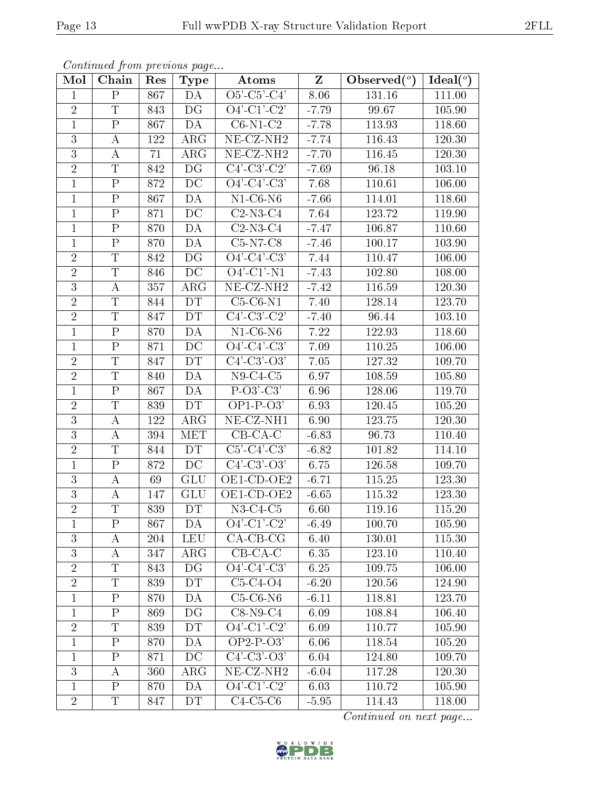|                | Continued from previous page |     |             |                                |                         |                |             |
|----------------|------------------------------|-----|-------------|--------------------------------|-------------------------|----------------|-------------|
| Mol            | Chain                        | Res | <b>Type</b> | Atoms                          | $\overline{\textbf{Z}}$ | Observed $(°)$ | Ideal $(°)$ |
| $\mathbf{1}$   | $\mathbf P$                  | 867 | DA          | $O5'$ -C5'-C4'                 | 8.06                    | 131.16         | 111.00      |
| $\overline{2}$ | $\mathbf T$                  | 843 | DG          | $O4'$ -C1'-C2'                 | $-7.79$                 | 99.67          | 105.90      |
| $\mathbf{1}$   | $\overline{\mathrm{P}}$      | 867 | DA          | $C6-N1-C2$                     | $-7.78$                 | 113.93         | 118.60      |
| 3              | А                            | 122 | $\rm{ARG}$  | NE-CZ-NH <sub>2</sub>          | $-7.74$                 | 116.43         | 120.30      |
| $\overline{3}$ | А                            | 71  | $\rm{ARG}$  | NE-CZ-NH <sub>2</sub>          | $-7.70$                 | 116.45         | 120.30      |
| $\overline{2}$ | T                            | 842 | DG          | $C4'-C3'-C2'$                  | $-7.69$                 | 96.18          | 103.10      |
| $\mathbf{1}$   | $\mathbf P$                  | 872 | DC          | $O4'-C4'-C3'$                  | 7.68                    | 110.61         | 106.00      |
| $\mathbf{1}$   | ${\bf P}$                    | 867 | DA          | $N1-C6-N6$                     | $-7.66$                 | 114.01         | 118.60      |
| $\mathbf{1}$   | $\overline{\mathrm{P}}$      | 871 | DC          | $C2-N3-C4$                     | 7.64                    | 123.72         | 119.90      |
| $\mathbf{1}$   | ${\bf P}$                    | 870 | DA          | $\overline{\text{C2}}$ -N3-C4  | $-7.47$                 | 106.87         | 110.60      |
| $\mathbf{1}$   | ${\bf P}$                    | 870 | DA          | $C5-N7-C8$                     | $-7.46$                 | 100.17         | 103.90      |
| $\overline{2}$ | $\overline{T}$               | 842 | DG          | $O4'-C4'-C3'$                  | 7.44                    | 110.47         | 106.00      |
| $\overline{2}$ | T                            | 846 | DC          | $O4'$ -C1'-N1                  | $-7.43$                 | 102.80         | 108.00      |
| 3              | A                            | 357 | $\rm{ARG}$  | $\overline{\text{NE- CZ-NH2}}$ | $-7.42$                 | 116.59         | 120.30      |
| $\overline{2}$ | $\overline{T}$               | 844 | DT          | $C5-C6-N1$                     | 7.40                    | 128.14         | 123.70      |
| $\overline{2}$ | T                            | 847 | <b>DT</b>   | $C4'-C3'-C2'$                  | $-7.40$                 | 96.44          | 103.10      |
| $\overline{1}$ | $\overline{\mathrm{P}}$      | 870 | DA          | $N1-C6-N6$                     | 7.22                    | 122.93         | 118.60      |
| $\mathbf{1}$   | ${\bf P}$                    | 871 | DC          | $O4'$ -C4'-C3'                 | 7.09                    | 110.25         | 106.00      |
| $\overline{2}$ | T                            | 847 | <b>DT</b>   | $C4'$ - $C3'$ - $O3'$          | 7.05                    | 127.32         | 109.70      |
| $\overline{2}$ | $\mathbf T$                  | 840 | DA          | $N9-C4-C5$                     | 6.97                    | 108.59         | 105.80      |
| $\mathbf{1}$   | $\overline{P}$               | 867 | DA          | $P-O3'-C3'$                    | 6.96                    | 128.06         | 119.70      |
| $\overline{2}$ | $\overline{\mathrm{T}}$      | 839 | <b>DT</b>   | $OP1-P-O3'$                    | 6.93                    | 120.45         | 105.20      |
| 3              | А                            | 122 | $\rm{ARG}$  | NE-CZ-NH1                      | 6.90                    | 123.75         | 120.30      |
| $\overline{3}$ | А                            | 394 | <b>MET</b>  | $CB-CA-C$                      | $-6.83$                 | 96.73          | 110.40      |
| $\overline{2}$ | T                            | 844 | <b>DT</b>   | $C5'-C4'-C3'$                  | $-6.82$                 | 101.82         | 114.10      |
| $\mathbf{1}$   | $\mathbf P$                  | 872 | DC          | $C4'$ - $C3'$ - $O3'$          | 6.75                    | 126.58         | 109.70      |
| $\overline{3}$ | А                            | 69  | <b>GLU</b>  | OE1-CD-OE2                     | $-6.71$                 | 115.25         | 123.30      |
| 3              | А                            | 147 | GLU         | OE1-CD-OE2                     | $-6.65$                 | 115.32         | 123.30      |
| $\overline{2}$ | Τ                            | 839 | DT          | $N3-C4-C5$                     | 6.60                    | 119.16         | 115.20      |
| $\mathbf{1}$   | $\mathbf P$                  | 867 | DA          | $O4'-Cl'-C2'$                  | $-6.49$                 | 100.70         | 105.90      |
| 3              | А                            | 204 | <b>LEU</b>  | $CA-CB-CG$                     | 6.40                    | 130.01         | 115.30      |
| $\overline{3}$ | А                            | 347 | $\rm{ARG}$  | $CB-CA-C$                      | 6.35                    | 123.10         | 110.40      |
| $\overline{2}$ | T                            | 843 | DG          | $O4'-C4'-C3'$                  | 6.25                    | 109.75         | 106.00      |
| $\overline{2}$ | T                            | 839 | DT          | $C5-C4-O4$                     | $-6.20$                 | 120.56         | 124.90      |
| $\mathbf{1}$   | $\mathbf{P}$                 | 870 | DA          | $C5-C6-N6$                     | $-6.11$                 | 118.81         | 123.70      |
| $\mathbf{1}$   | $\overline{\mathrm{P}}$      | 869 | DG          | $C8-N9-C4$                     | 6.09                    | 108.84         | 106.40      |
| $\overline{2}$ | Τ                            | 839 | DT          | $O4'-Cl'-C2'$                  | 6.09                    | 110.77         | 105.90      |
| $\mathbf{1}$   | $\boldsymbol{\mathrm{P}}$    | 870 | DA          | $OP2-P-O3'$                    | 6.06                    | 118.54         | 105.20      |
| $\mathbf{1}$   | ${\bf P}$                    | 871 | DC          | $C4'$ - $C3'$ - $O3'$          | 6.04                    | 124.80         | 109.70      |
| $\overline{3}$ | А                            | 360 | $\rm{ARG}$  | NE-CZ-NH <sub>2</sub>          | $-6.04$                 | 117.28         | 120.30      |
| $\overline{1}$ | $\mathbf{P}$                 | 870 | DA          | $O4'-Cl'-C2'$                  | 6.03                    | 110.72         | 105.90      |
| $\overline{2}$ | T                            | 847 | DT          | $C4-C5-C6$                     | $-5.95$                 | 114.43         | 118.00      |

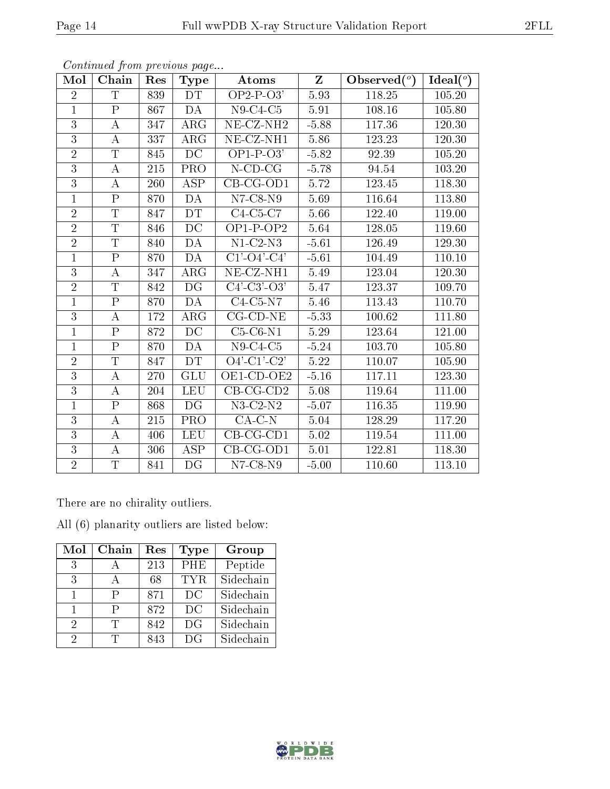| Mol            | Chain                   | Res | Type                     | Atoms                          | Z       | Observed $(°)$      | Ideal $(°)$ |
|----------------|-------------------------|-----|--------------------------|--------------------------------|---------|---------------------|-------------|
| $\overline{2}$ | $\mathbf T$             | 839 | <b>DT</b>                | $OP2-P-03'$                    | 5.93    | 118.25              | 105.20      |
| $\mathbf{1}$   | $\mathbf P$             | 867 | DA                       | $N9-C4-C5$                     | 5.91    | 108.16              | 105.80      |
| $\overline{3}$ | А                       | 347 | $\rm{ARG}$               | $NE-CZ-NH2$                    | $-5.88$ | $\overline{1}17.36$ | 120.30      |
| $\overline{3}$ | $\bf{A}$                | 337 | $\rm{ARG}$               | NE-CZ-NH1                      | 5.86    | 123.23              | 120.30      |
| $\overline{2}$ | $\overline{\mathrm{T}}$ | 845 | $\overline{DC}$          | $OP1-P-03'$                    | $-5.82$ | 92.39               | 105.20      |
| $\overline{3}$ | А                       | 215 | <b>PRO</b>               | $N$ -CD-CG                     | $-5.78$ | 94.54               | 103.20      |
| $\overline{3}$ | А                       | 260 | ASP                      | $CB-CG-OD1$                    | 5.72    | 123.45              | 118.30      |
| $\mathbf{1}$   | $\mathbf{P}$            | 870 | DA                       | $N7$ -C8- $N9$                 | 5.69    | 116.64              | 113.80      |
| $\overline{2}$ | $\overline{T}$          | 847 | <b>DT</b>                | C4-C5-C7                       | 5.66    | 122.40              | 119.00      |
| $\overline{2}$ | $\overline{\mathrm{T}}$ | 846 | $\overline{DC}$          | $OP1-P-OP2$                    | 5.64    | 128.05              | 119.60      |
| $\overline{2}$ | T                       | 840 | DA                       | $N1-C2-N3$                     | $-5.61$ | 126.49              | 129.30      |
| $\overline{1}$ | $\overline{\mathrm{P}}$ | 870 | DA                       | $C1'$ - $O4'$ - $C4'$          | $-5.61$ | 104.49              | 110.10      |
| $\overline{3}$ | $\bf{A}$                | 347 | $\rm{ARG}$               | NE-CZ-NH1                      | 5.49    | 123.04              | 120.30      |
| $\overline{2}$ | T                       | 842 | DG                       | $C4'$ - $C3'$ - $O3'$          | 5.47    | 123.37              | 109.70      |
| $\overline{1}$ | $\overline{P}$          | 870 | DA                       | $C4-C5-N7$                     | 5.46    | 113.43              | 110.70      |
| 3              | $\boldsymbol{A}$        | 172 | $\rm{ARG}$               | $CG$ - $CD$ - $NE$             | $-5.33$ | 100.62              | 111.80      |
| $\mathbf{1}$   | $\overline{\mathrm{P}}$ | 872 | DC                       | $C5-C6-N1$                     | 5.29    | 123.64              | 121.00      |
| $\mathbf{1}$   | ${\bf P}$               | 870 | DA                       | $N9-C4-C5$                     | $-5.24$ | 103.70              | 105.80      |
| $\overline{2}$ | T                       | 847 | <b>DT</b>                | $O4'$ -C1'-C2'                 | 5.22    | 110.07              | 105.90      |
| $\overline{3}$ | $\boldsymbol{A}$        | 270 | <b>GLU</b>               | $\overline{\text{OE1-CD-OE2}}$ | $-5.16$ | 117.11              | 123.30      |
| $\overline{3}$ | $\bf{A}$                | 204 | <b>LEU</b>               | $CB-CG-CD2$                    | 5.08    | 119.64              | 111.00      |
| $\mathbf{1}$   | $\overline{\mathrm{P}}$ | 868 | $\overline{\mathrm{DG}}$ | $\overline{\text{N3-C2-N2}}$   | $-5.07$ | 116.35              | 119.90      |
| $\overline{3}$ | A                       | 215 | PRO                      | $CA-C-N$                       | 5.04    | 128.29              | 117.20      |
| $\overline{3}$ | А                       | 406 | <b>LEU</b>               | $CB-CG-CD1$                    | 5.02    | 119.54              | 111.00      |
| $\overline{3}$ | А                       | 306 | ASP                      | $CB-CG-OD1$                    | 5.01    | 122.81              | 118.30      |
| $\overline{2}$ | $\mathbf T$             | 841 | DG                       | $N7-C8-N9$                     | $-5.00$ | 110.60              | 113.10      |

There are no chirality outliers.

All (6) planarity outliers are listed below:

| Mol | Chain        | Res | Type       | Group     |
|-----|--------------|-----|------------|-----------|
| 3   |              | 213 | <b>PHE</b> | Peptide   |
| 3   | $\mathsf{A}$ | 68  | TYR.       | Sidechain |
| 1   | Р            | 871 | DC         | Sidechain |
|     | P            | 872 | DC         | Sidechain |
| 2   | T            | 842 | DG         | Sidechain |
| 2   |              | 843 | DG         | Sidechain |

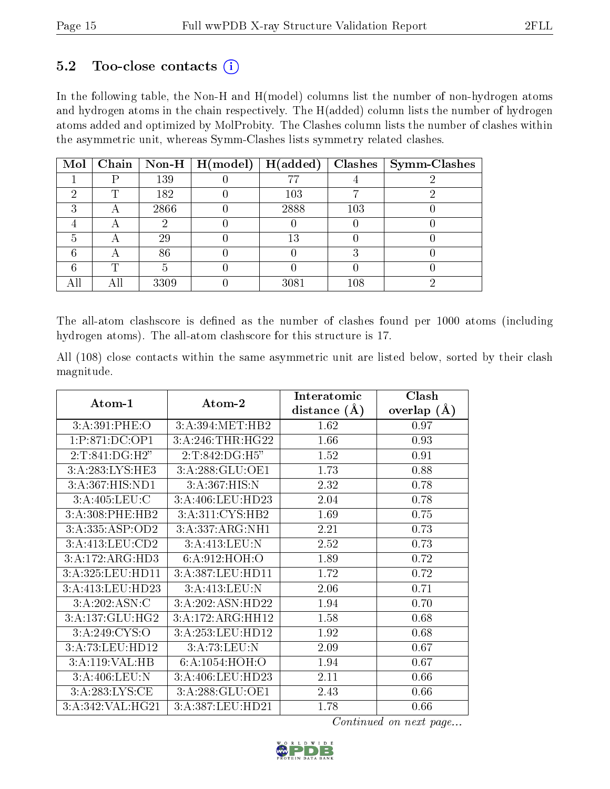#### $5.2$  Too-close contacts  $(i)$

In the following table, the Non-H and H(model) columns list the number of non-hydrogen atoms and hydrogen atoms in the chain respectively. The H(added) column lists the number of hydrogen atoms added and optimized by MolProbity. The Clashes column lists the number of clashes within the asymmetric unit, whereas Symm-Clashes lists symmetry related clashes.

| Mol |   |      | Chain   Non-H   $H (model)$ | H(added) |     | $Clashes$   Symm-Clashes |
|-----|---|------|-----------------------------|----------|-----|--------------------------|
|     |   | 139  |                             |          |     |                          |
|     | ௱ | 182  |                             | 103      |     |                          |
|     | Α | 2866 |                             | 2888     | 103 |                          |
|     | Α |      |                             |          |     |                          |
|     | Α | 29   |                             | 13       |     |                          |
|     |   | 86   |                             |          |     |                          |
|     | m |      |                             |          |     |                          |
| All |   | 3309 |                             | 3081     | 108 |                          |

The all-atom clashscore is defined as the number of clashes found per 1000 atoms (including hydrogen atoms). The all-atom clashscore for this structure is 17.

All (108) close contacts within the same asymmetric unit are listed below, sorted by their clash magnitude.

| Atom-1                            | Atom-2            | Interatomic    | Clash         |
|-----------------------------------|-------------------|----------------|---------------|
|                                   |                   | distance $(A)$ | overlap $(A)$ |
| 3: A:391: PHE:O                   | 3:A:394:MET:HB2   | 1.62           | 0.97          |
| 1:P:871:DC:OP1                    | 3:A:246:THR:HG22  | 1.66           | 0.93          |
| 2:T:841:DG:H2"                    | 2:T:842:DG:H5"    | 1.52           | 0.91          |
| 3:A:283:LYS:HE3                   | 3:A:288:GLU:OE1   | 1.73           | 0.88          |
| 3:A:367:HIS:ND1                   | 3:A:367:HIS:N     | 2.32           | 0.78          |
| 3:A:405:LEU:C                     | 3:A:406:LEU:HD23  | 2.04           | 0.78          |
| 3:A:308:PHE:HB2                   | 3:A:311:CYS:HB2   | 1.69           | 0.75          |
| 3:A:335:ASP:OD2                   | 3:A:337:ARG:NH1   | 2.21           | 0.73          |
| 3:A:413:LEU:CD2                   | 3:A:413:LEU:N     | 2.52           | 0.73          |
| 3:A:172:ARG:HD3                   | 6:A:912:HOH:O     | 1.89           | 0.72          |
| 3:A:325:LEU:HD11                  | 3:A:387:LEU:HD11  | 1.72           | 0.72          |
| 3:A:413:LEU:HD23                  | 3:A:413:LEU:N     | 2.06           | 0.71          |
| 3:A:202:ASN:C                     | 3:A:202:ASN:HD22  | 1.94           | 0.70          |
| 3:A:137:GLU:HG2                   | 3:A:172:ARG:HH12  | 1.58           | 0.68          |
| $3:A:249:\overline{\text{C}YS:O}$ | 3:A:253:LEU:HD12  | 1.92           | 0.68          |
| 3:A:73:LEU:HD12                   | 3:A:73:LEU:N      | 2.09           | 0.67          |
| 3:A:119:VAL:HB                    | 6: A: 1054: HOH:O | 1.94           | 0.67          |
| 3:A:406:LEU:N                     | 3:A:406:LEU:HD23  | 2.11           | 0.66          |
| 3:A:283:LYS:CE                    | 3:A:288:GLU:OE1   | 2.43           | 0.66          |
| 3:A:342:VAL:HG21                  | 3:A:387:LEU:HD21  | 1.78           | 0.66          |

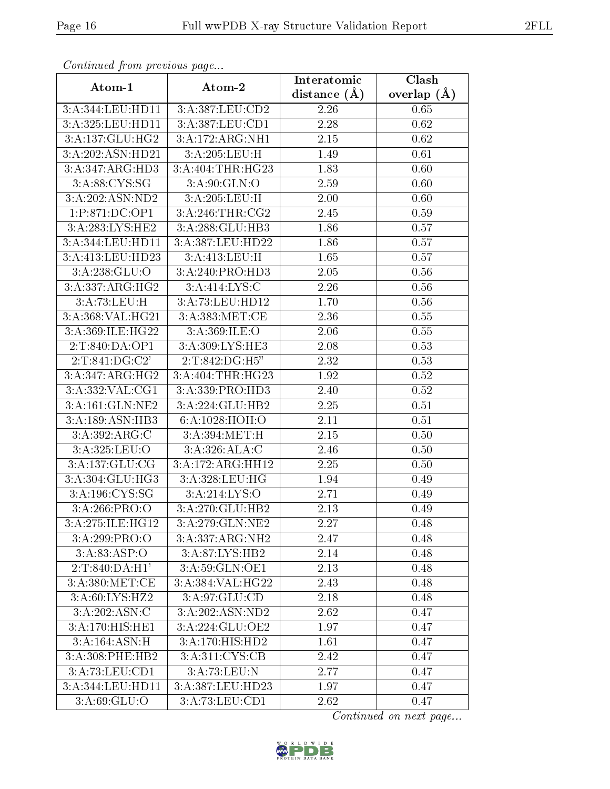| Continuea from previous page |                   | Interatomic    | Clash         |
|------------------------------|-------------------|----------------|---------------|
| Atom-1                       | Atom-2            | distance $(A)$ | overlap $(A)$ |
| 3:A:344:LEU:HD11             | 3:A:387:LEU:CD2   | 2.26           | 0.65          |
| 3:A:325:LEU:HD11             | 3:A:387:LEU:CD1   | 2.28           | 0.62          |
| 3:A:137:GLU:HG2              | 3:A:172:ARG:NH1   | 2.15           | 0.62          |
| 3:A:202:ASN:HD21             | 3:A:205:LEU:H     | 1.49           | 0.61          |
| 3:A:347:ARG:HD3              | 3:A:404:THR:HG23  | 1.83           | 0.60          |
| 3:A:88:CYS:SG                | 3:A:90:GLN:O      | 2.59           | 0.60          |
| 3:A:202:ASN:ND2              | 3:A:205:LEU:H     | 2.00           | 0.60          |
| 1:P:871:DC:OP1               | 3:A:246:THR:CG2   | 2.45           | 0.59          |
| 3: A:283:LYS:HE2             | 3:A:288:GLU:HB3   | 1.86           | 0.57          |
| 3:A:344:LEU:HD11             | 3:A:387:LEU:HD22  | 1.86           | 0.57          |
| 3:A:413:LEU:HD23             | 3:A:413:LEU:H     | 1.65           | 0.57          |
| 3:A:238:GLU:O                | 3:A:240:PRO:HD3   | 2.05           | 0.56          |
| 3: A: 337: ARG: HG2          | 3:A:414:LYS:C     | 2.26           | $0.56\,$      |
| 3:A:73:LEU:H                 | 3:A:73:LEU:HD12   | 1.70           | 0.56          |
| 3:A:368:VAL:HG21             | 3:A:383:MET:CE    | 2.36           | 0.55          |
| 3:A:369:ILE:HG22             | 3: A:369: ILE: O  | 2.06           | 0.55          |
| 2:T:840:DA:OP1               | 3:A:309:LYS:HE3   | 2.08           | 0.53          |
| 2:T:841:DG:C2'               | 2:T:842:DG:H5"    | 2.32           | 0.53          |
| 3: A:347: ARG: HG2           | 3:A:404:THR:HG23  | 1.92           | $0.52\,$      |
| 3:A:332:VAL:CG1              | 3:A:339:PRO:HD3   | 2.40           | 0.52          |
| 3:A:161:GLN:NE2              | 3:A:224:GLU:HB2   | 2.25           | 0.51          |
| 3:A:189:ASN:HB3              | 6:A:1028:HOH:O    | 2.11           | 0.51          |
| 3:A:392:ARG:C                | 3:A:394:MET:H     | 2.15           | 0.50          |
| 3:A:325:LEU:O                | 3:A:326:ALA:C     | 2.46           | 0.50          |
| 3:A:137:GLU:CG               | 3:A:172:ARG:HH12  | 2.25           | 0.50          |
| 3:A:304:GLU:HG3              | 3:A:328:LEU:HG    | 1.94           | 0.49          |
| 3:A:196:CYS:SG               | 3:A:214:LYS:O     | 2.71           | 0.49          |
| 3: A:266: PRO:O              | 3:A:270:GLU:HB2   | 2.13           | 0.49          |
| 3:A:275:ILE:HG12             | 3:A:279:GLN:NE2   | 2.27           | 0.48          |
| 3:A:299:PRO:O                | 3:A:337:ARG:NH2   | 2.47           | 0.48          |
| 3: A:83: ASP:O               | 3:A:87:LYS:HB2    | 2.14           | 0.48          |
| 2:T:840:DA:H1'               | 3:A:59:GLN:OE1    | 2.13           | 0.48          |
| 3:A:380:MET:CE               | 3:A:384:VAL:HG22  | 2.43           | 0.48          |
| 3:A:60:LYS:HZ2               | 3:A:97:GLU:CD     | 2.18           | 0.48          |
| 3:A:202:ASN:C                | 3: A:202: ASN:ND2 | 2.62           | 0.47          |
| 3:A:170:HIS:HE1              | 3:A:224:GLU:OE2   | 1.97           | 0.47          |
| 3:A:164:ASN:H                | 3:A:170:HIS:HD2   | 1.61           | 0.47          |
| 3:A:308:PHE:HB2              | 3:A:311:CYS:CB    | 2.42           | 0.47          |
| 3:A:73:LEU:CD1               | 3:A:73:LEU:N      | 2.77           | 0.47          |
| 3:A:344:LEU:HD11             | 3:A:387:LEU:HD23  | 1.97           | 0.47          |
| 3: A:69: GLU:O               | 3:A:73:LEU:CD1    | 2.62           | 0.47          |

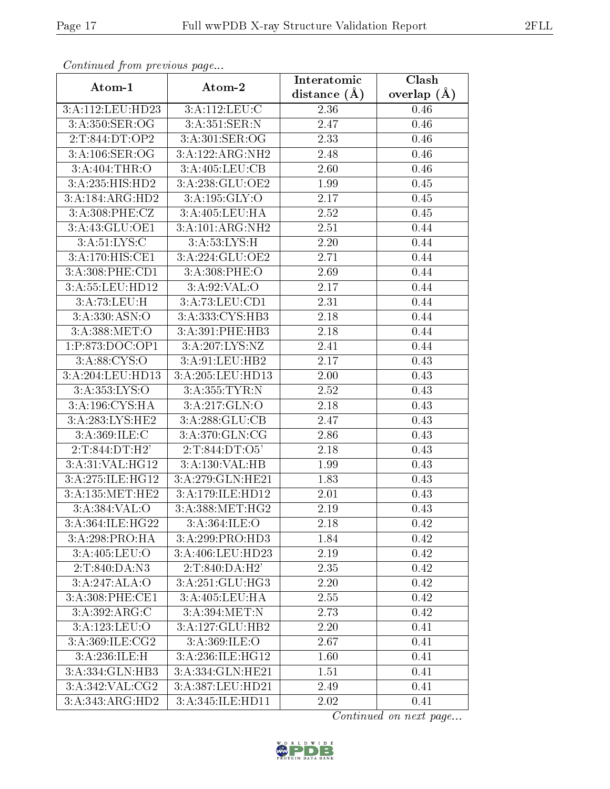| Continua from pretious page               |                   | Interatomic    | Clash           |
|-------------------------------------------|-------------------|----------------|-----------------|
| Atom-1                                    | Atom-2            | distance $(A)$ | overlap $(\AA)$ |
| 3:A:112:LEU:HD23                          | 3:A:112:LEU:C     | 2.36           | 0.46            |
| 3:A:350:SER:OG                            | 3: A:351: SER: N  | 2.47           | 0.46            |
| 2:T:844:DT:OP2                            | 3:A:301:SER:OG    | 2.33           | 0.46            |
| 3:A:106:SER:OG                            | 3:A:122:ARG:NH2   | 2.48           | 0.46            |
| 3:A:404:THR:O                             | 3:A:405:LEU:CB    | 2.60           | 0.46            |
| $3:A:235:HIS:H\overline{D2}$              | 3:A:238:GLU:OE2   | 1.99           | 0.45            |
| 3:A:184:ARG:HD2                           | 3: A: 195: GLY: O | 2.17           | 0.45            |
| 3:A:308:PHE:CZ                            | 3:A:405:LEU:HA    | 2.52           | 0.45            |
| 3:A:43:GLU:OE1                            | 3:A:101:ARG:NH2   | 2.51           | 0.44            |
| 3: A:51: LYS:C                            | 3:A:53:LYS:H      | 2.20           | 0.44            |
| 3:A:170:H <sub>1</sub> ST <sub>1</sub> SE | 3:A:224:GLU:OE2   | 2.71           | 0.44            |
| 3:A:308:PHE:CD1                           | 3:A:308:PHE:O     | 2.69           | 0.44            |
| 3:A:55:LEU:HD12                           | 3: A:92: VAL:O    | 2.17           | 0.44            |
| 3:A:73:LEU:H                              | 3:A:73:LEU:CD1    | 2.31           | 0.44            |
| 3:A:330:ASN:O                             | 3:A:333: CYS: HB3 | 2.18           | 0.44            |
| 3:A:388:MET:O                             | 3:A:391:PHE:HB3   | 2.18           | 0.44            |
| 1:P:873:DOC:OP1                           | 3:A:207:LYS:NZ    | 2.41           | 0.44            |
| 3: A:88: CYS:O                            | 3:A:91:LEU:HB2    | 2.17           | 0.43            |
| 3:A:204:LEU:HD13                          | 3:A:205:LEU:HD13  | 2.00           | 0.43            |
| 3: A: 353: LYS: O                         | 3:A:355:TYR:N     | 2.52           | 0.43            |
| 3:A:196:CYS:HA                            | 3:A:217:GLN:O     | 2.18           | 0.43            |
| 3:A:283:LYS:HE2                           | 3:A:288:GLU:CB    | 2.47           | 0.43            |
| 3:A:369:ILE:C                             | 3: A:370: GLN: CG | 2.86           | 0.43            |
| 2:T:844:DT:H2'                            | 2:T:844:DT:O5'    | 2.18           | 0.43            |
| 3:A:31:VAL:HG12                           | 3:A:130:VAL:HB    | 1.99           | 0.43            |
| 3:A:275:ILE:HG12                          | 3:A:279:GLN:HE21  | 1.83           | 0.43            |
| 3:A:135:MET:HE2                           | 3:A:179:ILE:HD12  | 2.01           | 0.43            |
| 3: A:384: VAL:O                           | 3:A:388:MET:HG2   | 2.19           | 0.43            |
| 3:A:364:ILE:HG22                          | 3: A:364: ILE: O  | 2.18           | 0.42            |
| 3:A:298:PRO:HA                            | 3:A:299:PRO:HD3   | 1.84           | 0.42            |
| 3: A:405: LEU:O                           | 3:A:406:LEU:HD23  | 2.19           | 0.42            |
| 2:T:840:DA:N3                             | 2:T:840:DA:H2'    | 2.35           | 0.42            |
| 3:A:247:ALA:O                             | 3:A:251:GLU:HG3   | 2.20           | 0.42            |
| 3:A:308:PHE:CE1                           | 3:A:405:LEU:HA    | 2.55           | 0.42            |
| 3:A:392:ARG:C                             | 3:A:394:MET:N     | 2.73           | 0.42            |
| 3:A:123:LEU:O                             | 3:A:127:GLU:HB2   | 2.20           | 0.41            |
| 3:A:369:ILE:CG2                           | 3: A:369: ILE: O  | 2.67           | 0.41            |
| 3:A:236:ILE:H                             | 3:A:236:ILE:HG12  | 1.60           | 0.41            |
| 3:A:334:GLN:HB3                           | 3:A:334:GLN:HE21  | 1.51           | 0.41            |
| 3:A:342:VAL:CG2                           | 3:A:387:LEU:HD21  | 2.49           | 0.41            |
| 3:A:343:ARG:HD2                           | 3:A:345:ILE:HD11  | 2.02           | 0.41            |

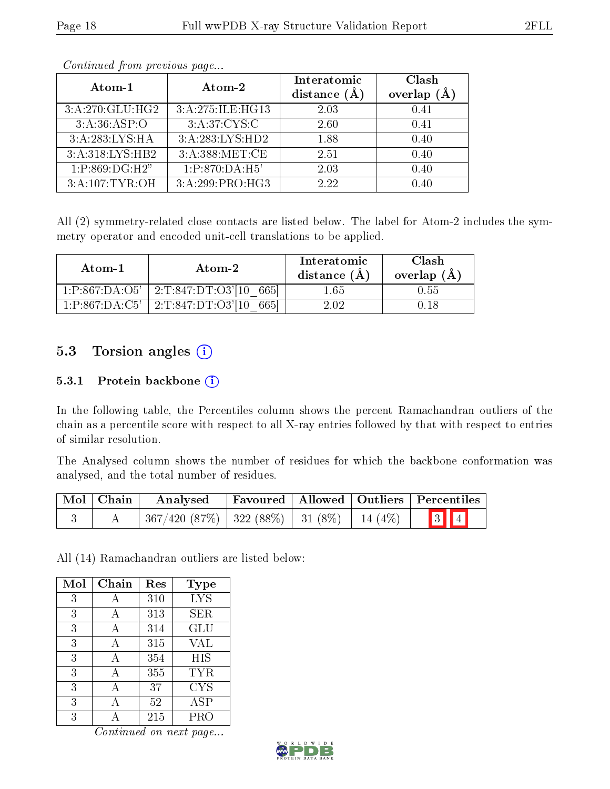| Atom-1          | Atom-2                       | Interatomic    | Clash              |
|-----------------|------------------------------|----------------|--------------------|
|                 |                              | distance $(A)$ | $(\AA)$<br>overlap |
| 3:A:270:GLU:HG2 | 3:A:275:ILE:HG13             | 2.03           | 0.41               |
| 3:A:36:ASP:O    | 3:A:37:CYS:C                 | 2.60           | 0.41               |
| 3:A:283:LYS:HA  | $3:A:283:LYS:\overline{HD2}$ | 1.88           | 0.40               |
| 3:A:318:LYS:HB2 | 3:A:388:MET:CE               | 2.51           | 0.40               |
| 1:P:869:DG:H2"  | $1:P:870:DA:\overline{H5'}$  | 2.03           | 0.40               |
| 3:A:107:TYR:OH  | 3:A:299:PRO:HG3              | 2.22           | 0.40               |

All (2) symmetry-related close contacts are listed below. The label for Atom-2 includes the symmetry operator and encoded unit-cell translations to be applied.

| Atom-1         | Atom-2                                 | Interatomic<br>distance (A | Clash<br>overlap $(A)$ |
|----------------|----------------------------------------|----------------------------|------------------------|
| 1:P:867:DA:O5' | $\pm 2$ :T:847:DT:O3'[10 $\pm$<br>6651 | $1.65\,$                   | 0.55                   |
| 1:P:867:DA:C5' | 2:T:847:DT:O3'[10]<br>665              | 2.02                       |                        |

### 5.3 Torsion angles (i)

#### 5.3.1 Protein backbone (i)

In the following table, the Percentiles column shows the percent Ramachandran outliers of the chain as a percentile score with respect to all X-ray entries followed by that with respect to entries of similar resolution.

The Analysed column shows the number of residues for which the backbone conformation was analysed, and the total number of residues.

| $\mid$ Mol $\mid$ Chain $\mid$ | Analysed                                                    |  | Favoured   Allowed   Outliers   Percentiles |
|--------------------------------|-------------------------------------------------------------|--|---------------------------------------------|
|                                | $367/420$ $(87\%)$   322 $(88\%)$   31 $(8\%)$   14 $(4\%)$ |  | $\boxed{3}$ $\boxed{4}$                     |

All (14) Ramachandran outliers are listed below:

| Mol | Chain | Res | <b>Type</b> |
|-----|-------|-----|-------------|
| 3   |       | 310 | <b>LYS</b>  |
| 3   | А     | 313 | SER         |
| 3   | А     | 314 | GLU         |
| 3   | А     | 315 | VAL         |
| 3   |       | 354 | HIS         |
| 3   | А     | 355 | TYR         |
| 3   | А     | 37  | CYS         |
| 3   |       | 52  | <b>ASP</b>  |
| 3   |       | 215 | PRO         |

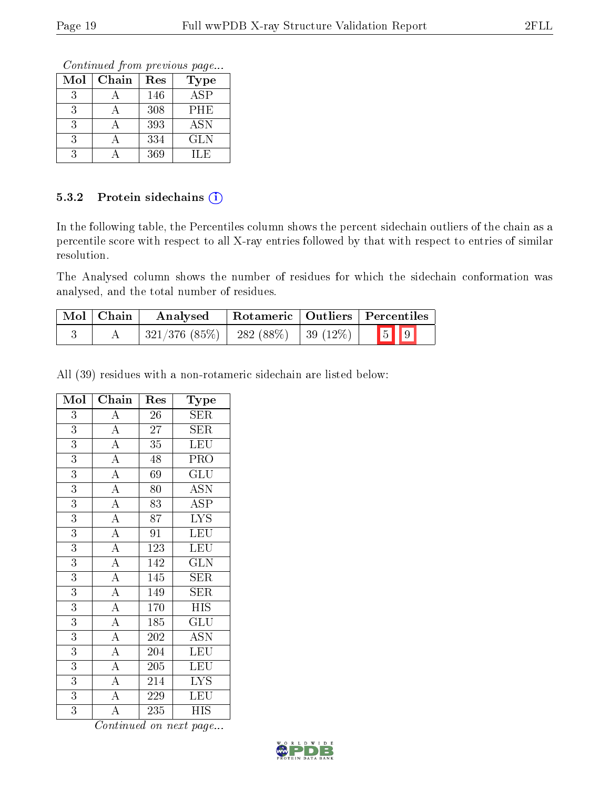Continued from previous page...

| Mol | Chain | Res | <b>Type</b> |
|-----|-------|-----|-------------|
| 3   |       | 146 | <b>ASP</b>  |
| 3   |       | 308 | PHE         |
| 3   |       | 393 | ASN         |
| 3   |       | 334 | <b>GLN</b>  |
|     |       | 369 | H.E         |

#### 5.3.2 Protein sidechains  $(i)$

In the following table, the Percentiles column shows the percent sidechain outliers of the chain as a percentile score with respect to all X-ray entries followed by that with respect to entries of similar resolution.

The Analysed column shows the number of residues for which the sidechain conformation was analysed, and the total number of residues.

| Mol   Chain | Analysed                                  |  | Rotameric   Outliers   Percentiles |
|-------------|-------------------------------------------|--|------------------------------------|
|             | $321/376$ (85\%)   282 (88\%)   39 (12\%) |  | $\boxed{5}$ $\boxed{9}$            |

All (39) residues with a non-rotameric sidechain are listed below:

| Mol            | Chain                               | Res              | Type                           |
|----------------|-------------------------------------|------------------|--------------------------------|
| 3              | $\overline{A}$                      | 26               | SER                            |
| $\overline{3}$ | $\overline{A}$                      | 27               | <b>SER</b>                     |
| $\overline{3}$ | $\overline{A}$                      | 35               | LEU                            |
| $\overline{3}$ | $\overline{A}$                      | 48               | PRO                            |
| $\overline{3}$ | $\overline{A}$                      | 69               | GLU                            |
| $\overline{3}$ |                                     | 80               | $\overline{\mathrm{ASN}}$      |
| 3              | $\frac{\overline{A}}{\overline{A}}$ | 83               | <b>ASP</b>                     |
| $\overline{3}$ |                                     | 87               | <b>LYS</b>                     |
| $\overline{3}$ | $\frac{1}{A}$                       | $\overline{91}$  | LEU                            |
| 3              | $\frac{\overline{A}}{\overline{A}}$ | 123              | LEU                            |
| $\overline{3}$ |                                     | 142              | $\overline{\text{GLN}}$        |
| 3              | $\overline{A}$                      | 145              | <b>SER</b>                     |
| 3              | $\frac{\overline{A}}{\overline{A}}$ | 149              | SER                            |
| 3              |                                     | 170              | <b>HIS</b>                     |
| 3              | $\overline{A}$                      | 185              | $\overline{{\rm GLU}}$         |
| $\overline{3}$ | $\overline{A}$                      | 202              | $\overline{\mathrm{ASN}}$      |
| 3              | $\overline{A}$                      | 204              | $\overline{\text{L}}\text{EU}$ |
| $\overline{3}$ | $\overline{A}$                      | $\overline{205}$ | $\overline{\text{LEU}}$        |
| 3              | $\overline{A}$                      | 214              | <b>LYS</b>                     |
| $\overline{3}$ | $\overline{\rm A}$                  | 229              | LEU                            |
| $\overline{3}$ | $\overline{A}$                      | 235              | $\overline{HIS}$               |

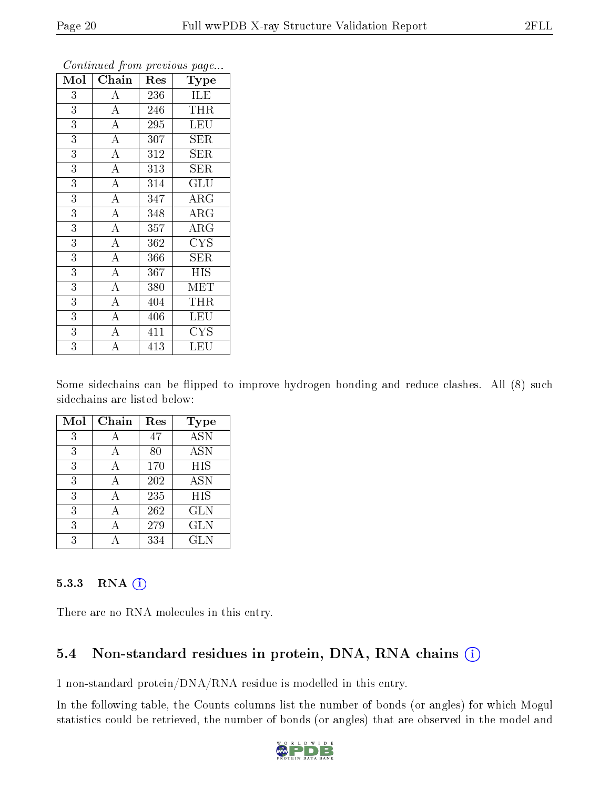| Mol            | Chain              | Res              | <b>Type</b>             |
|----------------|--------------------|------------------|-------------------------|
| 3              | A                  | 236              | ILE                     |
| $\overline{3}$ | $\overline{A}$     | 246              | THR                     |
| $\overline{3}$ | $\overline{A}$     | 295              | LEU                     |
| $\overline{3}$ | $\overline{\rm A}$ | 307              | SER                     |
| $\overline{3}$ | $\overline{A}$     | $\overline{312}$ | $\overline{\text{SER}}$ |
| $\overline{3}$ | $\overline{A}$     | 313              | <b>SER</b>              |
| $\overline{3}$ | $\overline{\rm A}$ | 314              | GLU                     |
| $\overline{3}$ | $\overline{A}$     | 347              | $\rm{ARG}$              |
| $\overline{3}$ | $\overline{\rm A}$ | 348              | $\rm{ARG}$              |
| $\overline{3}$ | $\overline{\rm A}$ | 357              | $\rm{ARG}$              |
| $\overline{3}$ | $\overline{\rm A}$ | 362              | <b>CYS</b>              |
| $\overline{3}$ | $\overline{A}$     | 366              | $\overline{\text{SER}}$ |
| $\overline{3}$ | $\overline{A}$     | 367              | <b>HIS</b>              |
| $\overline{3}$ | $\overline{\rm A}$ | 380              | MET                     |
| $\overline{3}$ | $\overline{A}$     | 404              | THR                     |
| 3              | $\overline{A}$     | 406              | <b>LEU</b>              |
| $\overline{3}$ | $\overline{\rm A}$ | 411              | <b>CYS</b>              |
| $\overline{3}$ | А                  | 413              | LEU                     |

Some sidechains can be flipped to improve hydrogen bonding and reduce clashes. All (8) such sidechains are listed below:

| Mol | Chain | Res | Type                      |
|-----|-------|-----|---------------------------|
| 3   |       | 47  | $\overline{\mathrm{ASN}}$ |
| 3   | А     | 80  | <b>ASN</b>                |
| 3   | А     | 170 | <b>HIS</b>                |
| 3   | А     | 202 | <b>ASN</b>                |
| 3   | А     | 235 | <b>HIS</b>                |
| 3   |       | 262 | <b>GLN</b>                |
| 3   |       | 279 | <b>GLN</b>                |
| 3   |       | 334 | <b>GLN</b>                |

#### 5.3.3 RNA (1)

There are no RNA molecules in this entry.

### 5.4 Non-standard residues in protein, DNA, RNA chains (i)

1 non-standard protein/DNA/RNA residue is modelled in this entry.

In the following table, the Counts columns list the number of bonds (or angles) for which Mogul statistics could be retrieved, the number of bonds (or angles) that are observed in the model and

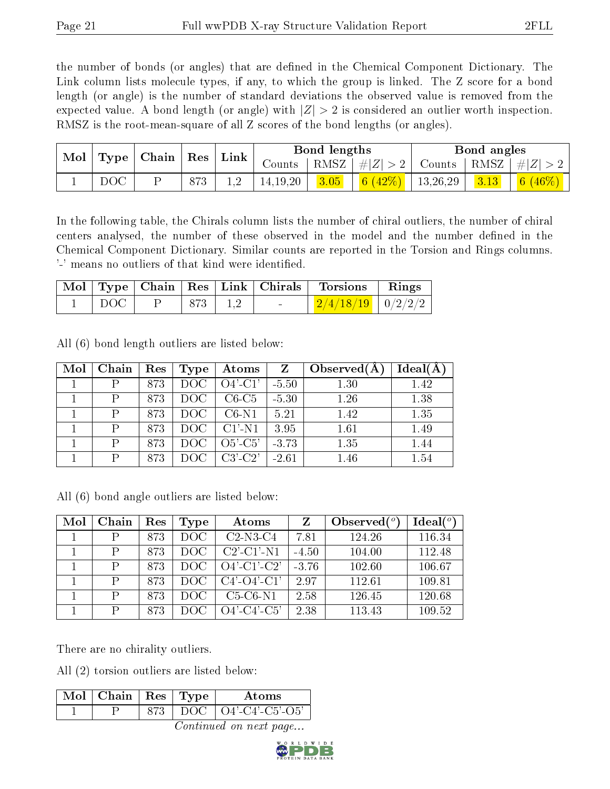the number of bonds (or angles) that are defined in the Chemical Component Dictionary. The Link column lists molecule types, if any, to which the group is linked. The Z score for a bond length (or angle) is the number of standard deviations the observed value is removed from the expected value. A bond length (or angle) with  $|Z| > 2$  is considered an outlier worth inspection. RMSZ is the root-mean-square of all Z scores of the bond lengths (or angles).

| Mol |     | $\mid$ Type $\mid$ Chain $\mid$ Res $\mid$ |     | Bond lengths<br>$\mid$ Link |            |      | Bond angles |               |      |            |
|-----|-----|--------------------------------------------|-----|-----------------------------|------------|------|-------------|---------------|------|------------|
|     |     |                                            |     |                             | Counts     | RMSZ | #Z  > 2     | Counts   RMSZ |      | $\# Z $    |
|     | DOC |                                            | 873 |                             | 14, 19, 20 | 3.05 | 6 $(42\%)$  | 13,26,29      | 3.13 | 6 $(46\%)$ |

In the following table, the Chirals column lists the number of chiral outliers, the number of chiral centers analysed, the number of these observed in the model and the number defined in the Chemical Component Dictionary. Similar counts are reported in the Torsion and Rings columns. '-' means no outliers of that kind were identified.

|  |         |             | Mol   Type   Chain   Res   Link   Chirals   Torsions   Rings |  |
|--|---------|-------------|--------------------------------------------------------------|--|
|  | DOC   P | $873$   1,2 | $ \frac{2}{4/18/19}$ $0/2/2/2$                               |  |

All (6) bond length outliers are listed below:

| Mol | Chain | Res | $\bf Type$       | Atoms                 | Z             | Observed $(A)$ | Ideal(A) |
|-----|-------|-----|------------------|-----------------------|---------------|----------------|----------|
|     |       | 873 |                  | $DOC$   $O4'$ - $Cl'$ | $\vert$ -5.50 | 1.30           | 1.42     |
|     |       | 873 | DOC              | $C6-C5$               | $-5.30$       | 1.26           | 1.38     |
|     | P     | 873 | DOC              | $C6-N1$               | 5.21          | 1.42           | 1.35     |
|     | P     | 873 | DOC <sub>1</sub> | $CI'-N1$              | 3.95          | 1.61           | 1.49     |
|     | P     | 873 | DOC              | $O5'-C5'$             | $-3.73$       | 1.35           | 1.44     |
|     | P     | 873 | DOC.             | $C3'$ - $C2'$         | $-2.61$       | 1.46           | 1.54     |

All (6) bond angle outliers are listed below:

| Mol | Chain | Res | Type | Atoms                                    | Z       | Observed $(°)$ | Ideal(°) |
|-----|-------|-----|------|------------------------------------------|---------|----------------|----------|
|     | P     | 873 | DOC. | $C2-N3-C4$                               | 7.81    | 124.26         | 116.34   |
|     | P     | 873 | DOC  | $C2$ <sup>-</sup> $C1$ <sup>-</sup> $N1$ | $-4.50$ | 104.00         | 112.48   |
|     | P     | 873 | DOC. | $O4'$ -C1'-C2'                           | $-3.76$ | 102.60         | 106.67   |
|     | P     | 873 | DOC. | $C4'$ - $O4'$ - $C1'$                    | 2.97    | 112.61         | 109.81   |
|     | P     | 873 | DOC. | $C5-C6-N1$                               | 2.58    | 126.45         | 120.68   |
|     | P     | 873 | DOC  | O4'-C4'-C5'                              | 2.38    | 113.43         | 109.52   |

There are no chirality outliers.

All (2) torsion outliers are listed below:

| Mol   Chain   Res   Type $\overline{\phantom{a}}$ |  | Atoms                             |
|---------------------------------------------------|--|-----------------------------------|
|                                                   |  | $\mid$ DOC $\mid$ O4'-C4'-C5'-O5' |

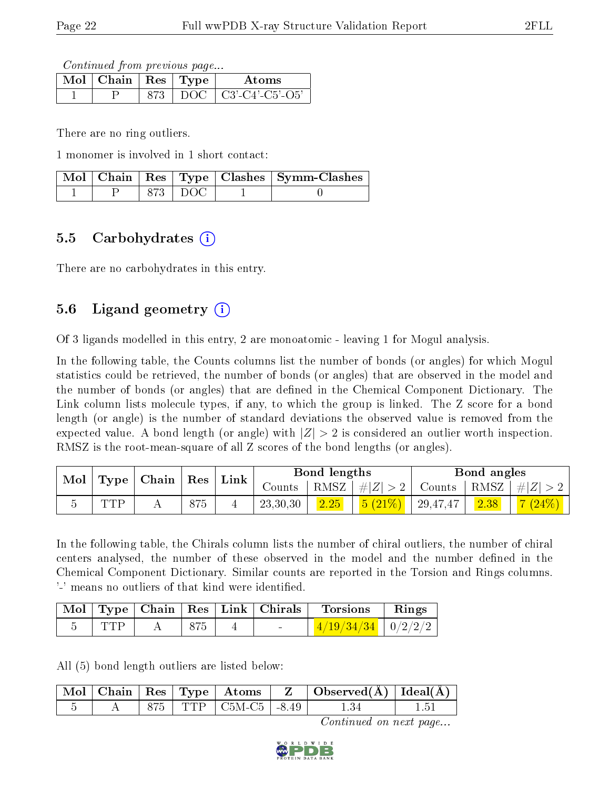Continued from previous page...

| Mol | $\overline{\phantom{a}}$ $\overline{\phantom{a}}$ $\overline{\phantom{a}}$ $\overline{\phantom{a}}$ $\overline{\phantom{a}}$ $\overline{\phantom{a}}$ $\overline{\phantom{a}}$ $\overline{\phantom{a}}$ $\overline{\phantom{a}}$ $\overline{\phantom{a}}$ $\overline{\phantom{a}}$ $\overline{\phantom{a}}$ $\overline{\phantom{a}}$ $\overline{\phantom{a}}$ $\overline{\phantom{a}}$ $\overline{\phantom{a}}$ $\overline{\phantom{a}}$ $\overline{\phantom{a}}$ $\overline{\$ |      | Atoms            |
|-----|---------------------------------------------------------------------------------------------------------------------------------------------------------------------------------------------------------------------------------------------------------------------------------------------------------------------------------------------------------------------------------------------------------------------------------------------------------------------------------|------|------------------|
|     |                                                                                                                                                                                                                                                                                                                                                                                                                                                                                 | 1)OC | $C3'-C4'-C5'-O5$ |

There are no ring outliers.

1 monomer is involved in 1 short contact:

|  |           | Mol   Chain   Res   Type   Clashes   Symm-Clashes |
|--|-----------|---------------------------------------------------|
|  | 873   DOC |                                                   |

### 5.5 Carbohydrates  $(i)$

There are no carbohydrates in this entry.

### 5.6 Ligand geometry  $(i)$

Of 3 ligands modelled in this entry, 2 are monoatomic - leaving 1 for Mogul analysis.

In the following table, the Counts columns list the number of bonds (or angles) for which Mogul statistics could be retrieved, the number of bonds (or angles) that are observed in the model and the number of bonds (or angles) that are dened in the Chemical Component Dictionary. The Link column lists molecule types, if any, to which the group is linked. The Z score for a bond length (or angle) is the number of standard deviations the observed value is removed from the expected value. A bond length (or angle) with  $|Z| > 2$  is considered an outlier worth inspection. RMSZ is the root-mean-square of all Z scores of the bond lengths (or angles).

| Mol |                                                 |  |     | Bond lengths |          |                     |               | Bond angles |         |           |
|-----|-------------------------------------------------|--|-----|--------------|----------|---------------------|---------------|-------------|---------|-----------|
|     | $\mid$ Type $\mid$ Chain $\mid$ Res $\mid$ Link |  |     | Counts       |          | $ RMSZ  \#  Z  > 2$ | Counts   RMSZ |             | $\# Z $ |           |
|     | TTD                                             |  | 875 |              | 23,30,30 | 2.25                | $5(21%)$      | 29,47,47    | 2.38    | $7(24\%)$ |

In the following table, the Chirals column lists the number of chiral outliers, the number of chiral centers analysed, the number of these observed in the model and the number defined in the Chemical Component Dictionary. Similar counts are reported in the Torsion and Rings columns. '-' means no outliers of that kind were identified.

|          |  | Mol   Type   Chain   Res   Link   Chirals | Torsions                                                | Rings |
|----------|--|-------------------------------------------|---------------------------------------------------------|-------|
| - 'I'I'P |  | <b>Service</b>                            | $\frac{4}{19}\left(34/34\right)$   0/2/2/2 <sub>1</sub> |       |

All (5) bond length outliers are listed below:

|  |  | $\lceil\,\overline{\text{Mol}}\,\rceil$ Chain $\lceil\,\text{Res}\,\rceil$ Type $\lceil\,\text{Atoms}\,\rceil$ | $\mathbf{Z}$ | $\vert$ Observed( $\AA$ ) $\vert$ Ideal( $\AA$ ) |  |
|--|--|----------------------------------------------------------------------------------------------------------------|--------------|--------------------------------------------------|--|
|  |  | 875   TTP   C5M-C5   -8.49                                                                                     |              |                                                  |  |

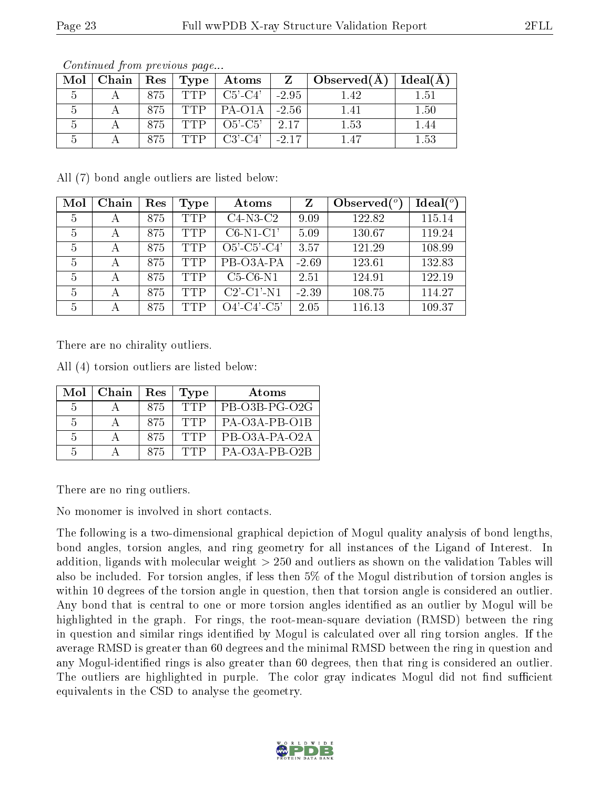| Mol | Chain | $\operatorname{Res}$ | $\Gamma$ ype | Atoms         | $\mathbf{Z}$ | $\Box$ Observed(A) | Ideal(A) |
|-----|-------|----------------------|--------------|---------------|--------------|--------------------|----------|
|     |       | 875                  | TTP          | $C5'$ - $C4'$ | $-2.95$      | 142                | 1.51     |
|     |       | 875                  | TTP          | $PA-O1A$      | $-2.56$      | 141                | 1.50     |
|     |       | 875                  |              | $O5'-C5'$     | - 2.17       | $1.53\,$           |          |
|     |       | 875                  |              | $C3'$ - $C4'$ |              |                    | 1.53     |

All (7) bond angle outliers are listed below:

| Mol | Chain | Res | Type       | Atoms                 | Z       | Observed $(°)$ | $\text{Ideal}({}^o)$ |
|-----|-------|-----|------------|-----------------------|---------|----------------|----------------------|
| 5   | А     | 875 | <b>TTP</b> | $C4-N3-C2$            | 9.09    | 122.82         | 115.14               |
| 5   | А     | 875 | <b>TTP</b> | $C6-N1-C1'$           | 5.09    | 130.67         | 119.24               |
| 5   | А     | 875 | <b>TTP</b> | $O5'$ - $C5'$ - $C4'$ | 3.57    | 121.29         | 108.99               |
| 5   | А     | 875 | <b>TTP</b> | PB-03A-PA             | $-2.69$ | 123.61         | 132.83               |
| 5   | А     | 875 | <b>TTP</b> | $C5-C6-N1$            | 2.51    | 124.91         | 122.19               |
| 5   | А     | 875 | <b>TTP</b> | $C2'$ - $C1'$ - $N1$  | $-2.39$ | 108.75         | 114.27               |
| 5   | А     | 875 | <b>TTP</b> | $O4'$ - $C4'$ - $C5'$ | 2.05    | 116.13         | 109.37               |

There are no chirality outliers.

All (4) torsion outliers are listed below:

| Mol            | Chain   Res |      | Type       | Atoms           |
|----------------|-------------|------|------------|-----------------|
| $\overline{5}$ |             | 875  | <b>TTP</b> | PB-O3B-PG-O2G   |
| -5             |             | -875 | TTP        | $PA-O3A-PB-O1B$ |
| -5             |             | 875  | TTP        | PB-03A-PA-02A   |
| 5              |             | 875  | TTP        | $PA-O3A-PB-O2B$ |

There are no ring outliers.

No monomer is involved in short contacts.

The following is a two-dimensional graphical depiction of Mogul quality analysis of bond lengths, bond angles, torsion angles, and ring geometry for all instances of the Ligand of Interest. In addition, ligands with molecular weight > 250 and outliers as shown on the validation Tables will also be included. For torsion angles, if less then 5% of the Mogul distribution of torsion angles is within 10 degrees of the torsion angle in question, then that torsion angle is considered an outlier. Any bond that is central to one or more torsion angles identified as an outlier by Mogul will be highlighted in the graph. For rings, the root-mean-square deviation (RMSD) between the ring in question and similar rings identified by Mogul is calculated over all ring torsion angles. If the average RMSD is greater than 60 degrees and the minimal RMSD between the ring in question and any Mogul-identified rings is also greater than 60 degrees, then that ring is considered an outlier. The outliers are highlighted in purple. The color gray indicates Mogul did not find sufficient equivalents in the CSD to analyse the geometry.

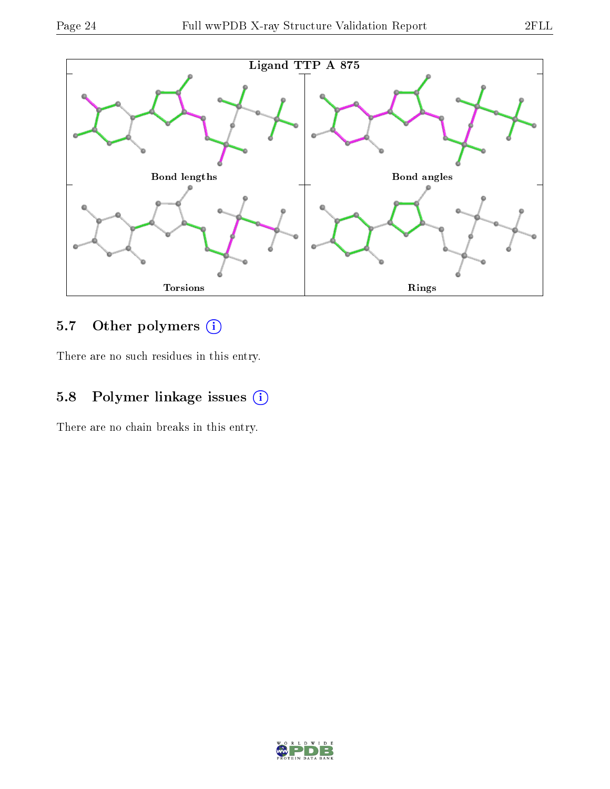

## 5.7 [O](https://www.wwpdb.org/validation/2017/XrayValidationReportHelp#nonstandard_residues_and_ligands)ther polymers (i)

There are no such residues in this entry.

## 5.8 Polymer linkage issues (i)

There are no chain breaks in this entry.

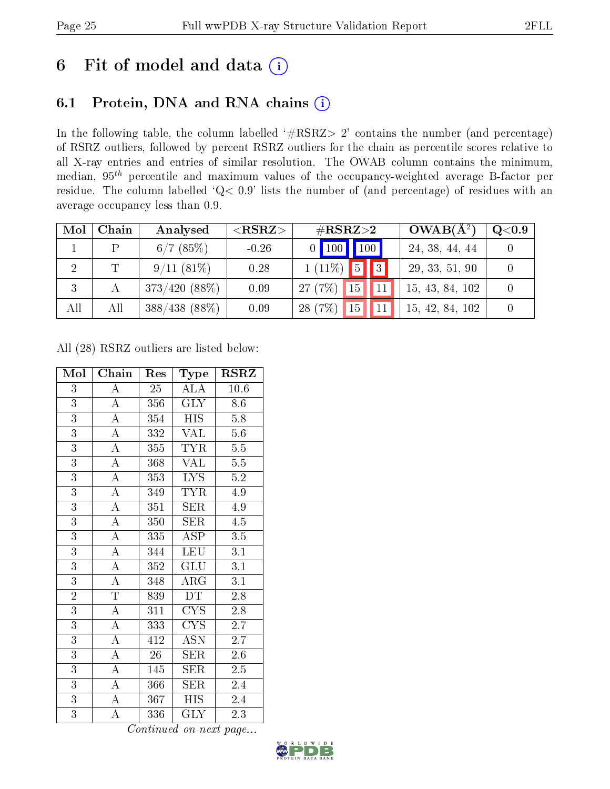## 6 Fit of model and data  $(i)$

### 6.1 Protein, DNA and RNA chains  $(i)$

In the following table, the column labelled  $#RSRZ> 2'$  contains the number (and percentage) of RSRZ outliers, followed by percent RSRZ outliers for the chain as percentile scores relative to all X-ray entries and entries of similar resolution. The OWAB column contains the minimum, median,  $95<sup>th</sup>$  percentile and maximum values of the occupancy-weighted average B-factor per residue. The column labelled ' $Q< 0.9$ ' lists the number of (and percentage) of residues with an average occupancy less than 0.9.

| Mol | Chain       | Analysed        | ${ <\hspace{-1.5pt}{\mathrm{RSRZ}} \hspace{-1.5pt}>}$ | $\#\text{RSRZ}{>}2$                        | $OWAB(A^2)$     | Q <sub>0.9</sub> |
|-----|-------------|-----------------|-------------------------------------------------------|--------------------------------------------|-----------------|------------------|
|     | D           | 6/7(85%)        | $-0.26$                                               |                                            | 24, 38, 44, 44  |                  |
| 2   | $\mathbf T$ | 9/11(81%)       | 0.28                                                  | $\vert \vert \vert 3 \vert$<br>$1(11\%)$ 5 | 29, 33, 51, 90  |                  |
| 3   |             | $373/420(88\%)$ | 0.09                                                  | 15<br>27(7%)                               | 15, 43, 84, 102 |                  |
| All | All         | $388/438(88\%)$ | 0.09                                                  | 28(7%)<br>15                               | 15, 42, 84, 102 |                  |

All (28) RSRZ outliers are listed below:

| Mol            | Chain                 | Res              | Type                      | $\rm RSRZ$       |
|----------------|-----------------------|------------------|---------------------------|------------------|
| $\overline{3}$ | $\boldsymbol{A}$      | 25               | <b>ALA</b>                | 10.6             |
| $\overline{3}$ | $\overline{A}$        | 356              | <b>GLY</b>                | 8.6              |
| $\overline{3}$ | $\overline{\rm A}$    | 354              | <b>HIS</b>                | 5.8              |
| $\overline{3}$ | $\overline{\rm A}$    | 332              | <b>VAL</b>                | $5.6\,$          |
| $\overline{3}$ | $\overline{\rm A}$    | 355              | TYR                       | 5.5              |
| $\overline{3}$ | $\overline{A}$        | 368              | $\overline{\text{VAL}}$   | $\overline{5.5}$ |
| $\overline{3}$ | $\overline{\rm A}$    | 353              | <b>LYS</b>                | 5.2              |
| $\overline{3}$ | $\overline{\rm A}$    | 349              | <b>TYR</b>                | 4.9              |
| $\overline{3}$ | $\overline{A}$        | 351              | <b>SER</b>                | 4.9              |
| $\overline{3}$ | $\overline{\rm A}$    | 350              | SER                       | 4.5              |
| $\overline{3}$ | $\overline{A}$        | 335              | $\overline{\text{ASP}}$   | $\overline{3.5}$ |
| 3              | $\overline{\rm A}$    | 344              | <b>LEU</b>                | 3.1              |
| $\overline{3}$ | $\overline{\rm A}$    | 352              | <b>GLU</b>                | $\overline{3.1}$ |
| $\overline{3}$ | $\overline{\rm A}$    | 348              | $\rm{ARG}$                | 3.1              |
| $\overline{2}$ | $\overline{\text{T}}$ | 839              | DT                        | $2.\overline{8}$ |
| $\overline{3}$ | $\overline{A}$        | $\overline{311}$ | $\overline{\text{CYS}}$   | $2.\overline{8}$ |
| $\overline{3}$ | $\overline{\rm A}$    | 333              | <b>CYS</b>                | 2.7              |
| $\overline{3}$ | $\overline{\rm A}$    | 412              | $\overline{\mathrm{ASN}}$ | 2.7              |
| $\overline{3}$ | $\overline{\rm A}$    | 26               | ${\rm SER}$               | 2.6              |
| $\overline{3}$ | $\overline{\rm A}$    | 145              | <b>SER</b>                | 2.5              |
| $\overline{3}$ | $\overline{A}$        | 366              | <b>SER</b>                | 2.4              |
| $\overline{3}$ | $\overline{\rm A}$    | 367              | <b>HIS</b>                | 2.4              |
| $\overline{3}$ | $\overline{\rm A}$    | 336              | $\overline{\text{GLY}}$   | 2.3              |

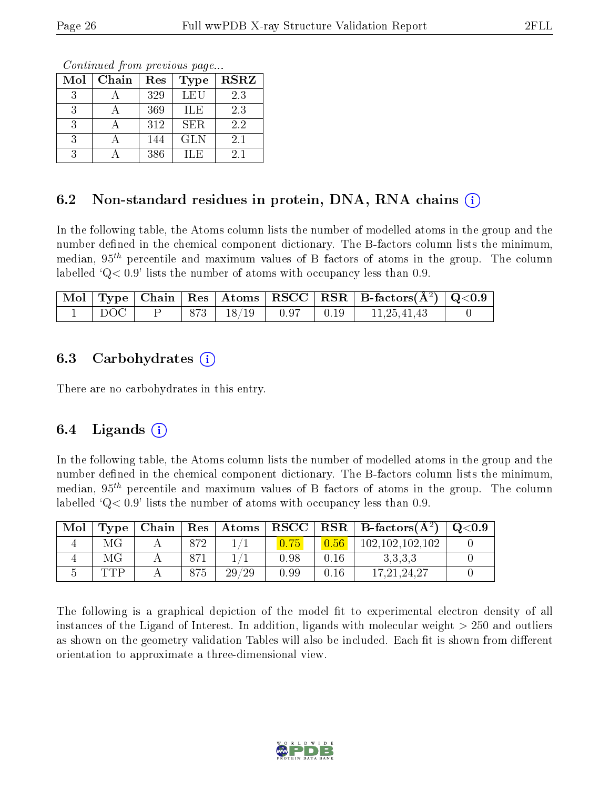Continued from previous page...

| Mol | Chain | Res | <b>Type</b> | <b>RSRZ</b> |
|-----|-------|-----|-------------|-------------|
| 3   |       | 329 | LEU         | 2.3         |
| 3   |       | 369 | ILE         | 2.3         |
| 3   |       | 312 | <b>SER</b>  | 2.2         |
| 3   |       | 144 | <b>GLN</b>  | 2.1         |
|     |       | 386 | ILE         | 2.1         |

#### 6.2 Non-standard residues in protein, DNA, RNA chains (i)

In the following table, the Atoms column lists the number of modelled atoms in the group and the number defined in the chemical component dictionary. The B-factors column lists the minimum, median,  $95<sup>th</sup>$  percentile and maximum values of B factors of atoms in the group. The column labelled  $Q< 0.9$ ' lists the number of atoms with occupancy less than 0.9.

|                       |  |  | $\boxed{\text{ Mol}}$ Type   Chain   Res   Atoms   RSCC   RSR   B-factors $(\AA^2)$   Q<0.9 |  |
|-----------------------|--|--|---------------------------------------------------------------------------------------------|--|
| $\,^{\circ}$ DOC $\,$ |  |  | $P$   873   18/19   0.97   0.19   11,25,41,43                                               |  |

#### 6.3 Carbohydrates  $(i)$

There are no carbohydrates in this entry.

### 6.4 Ligands  $(i)$

In the following table, the Atoms column lists the number of modelled atoms in the group and the number defined in the chemical component dictionary. The B-factors column lists the minimum, median,  $95<sup>th</sup>$  percentile and maximum values of B factors of atoms in the group. The column labelled  $Q< 0.9$ ' lists the number of atoms with occupancy less than 0.9.

| Mol | Type | Chain |     | $\mid$ $\mathrm{Res}\mid$ $\mathrm{Atoms}$ | $\mid$ RSCC $\mid$ |      | $RSR \mid$ B-factors $(A^2)$ | Q <sub>0.9</sub> |
|-----|------|-------|-----|--------------------------------------------|--------------------|------|------------------------------|------------------|
|     | МG   |       | 872 |                                            |                    |      | 102,102,102,102              |                  |
|     | МG   |       | 871 |                                            | 0.98               | 0.16 | 3.3.3.3                      |                  |
|     | TTP  |       | 875 | 29/29                                      | 0.99               | 0.16 | 17.21.24.27                  |                  |

The following is a graphical depiction of the model fit to experimental electron density of all instances of the Ligand of Interest. In addition, ligands with molecular weight  $> 250$  and outliers as shown on the geometry validation Tables will also be included. Each fit is shown from different orientation to approximate a three-dimensional view.